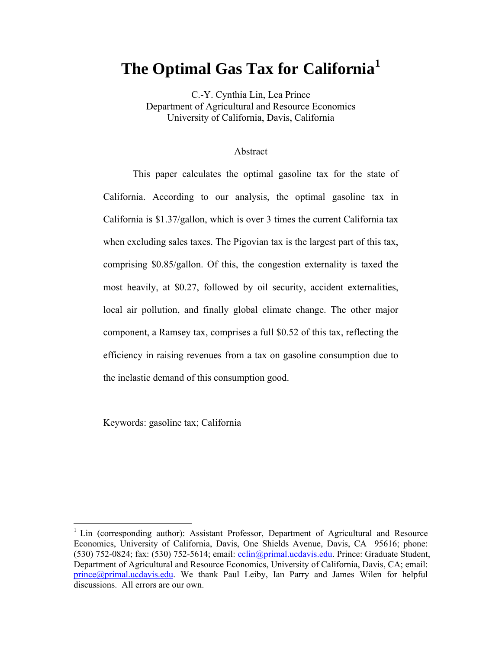# **The Optimal Gas Tax for California1**

C.-Y. Cynthia Lin, Lea Prince Department of Agricultural and Resource Economics University of California, Davis, California

#### Abstract

 This paper calculates the optimal gasoline tax for the state of California. According to our analysis, the optimal gasoline tax in California is \$1.37/gallon, which is over 3 times the current California tax when excluding sales taxes. The Pigovian tax is the largest part of this tax, comprising \$0.85/gallon. Of this, the congestion externality is taxed the most heavily, at \$0.27, followed by oil security, accident externalities, local air pollution, and finally global climate change. The other major component, a Ramsey tax, comprises a full \$0.52 of this tax, reflecting the efficiency in raising revenues from a tax on gasoline consumption due to the inelastic demand of this consumption good.

Keywords: gasoline tax; California

1

<sup>&</sup>lt;sup>1</sup> Lin (corresponding author): Assistant Professor, Department of Agricultural and Resource Economics, University of California, Davis, One Shields Avenue, Davis, CA 95616; phone: (530) 752-0824; fax: (530) 752-5614; email: cclin@primal.ucdavis.edu. Prince: Graduate Student, Department of Agricultural and Resource Economics, University of California, Davis, CA; email: prince@primal.ucdavis.edu. We thank Paul Leiby, Ian Parry and James Wilen for helpful discussions. All errors are our own.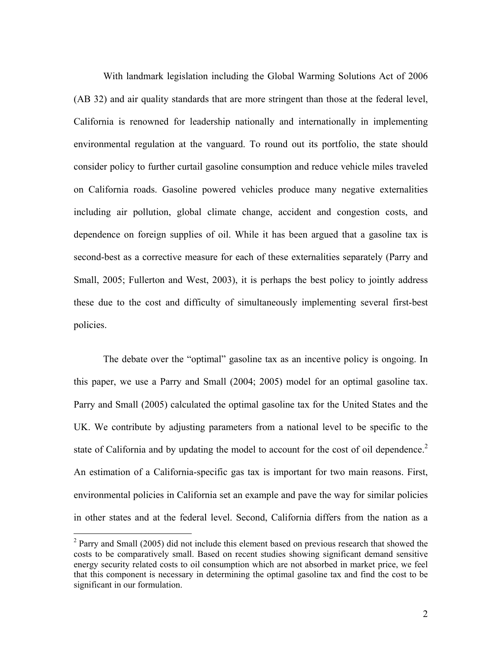With landmark legislation including the Global Warming Solutions Act of 2006 (AB 32) and air quality standards that are more stringent than those at the federal level, California is renowned for leadership nationally and internationally in implementing environmental regulation at the vanguard. To round out its portfolio, the state should consider policy to further curtail gasoline consumption and reduce vehicle miles traveled on California roads. Gasoline powered vehicles produce many negative externalities including air pollution, global climate change, accident and congestion costs, and dependence on foreign supplies of oil. While it has been argued that a gasoline tax is second-best as a corrective measure for each of these externalities separately (Parry and Small, 2005; Fullerton and West, 2003), it is perhaps the best policy to jointly address these due to the cost and difficulty of simultaneously implementing several first-best policies.

The debate over the "optimal" gasoline tax as an incentive policy is ongoing. In this paper, we use a Parry and Small (2004; 2005) model for an optimal gasoline tax. Parry and Small (2005) calculated the optimal gasoline tax for the United States and the UK. We contribute by adjusting parameters from a national level to be specific to the state of California and by updating the model to account for the cost of oil dependence.<sup>2</sup> An estimation of a California-specific gas tax is important for two main reasons. First, environmental policies in California set an example and pave the way for similar policies in other states and at the federal level. Second, California differs from the nation as a

<u>.</u>

 $2$  Parry and Small (2005) did not include this element based on previous research that showed the costs to be comparatively small. Based on recent studies showing significant demand sensitive energy security related costs to oil consumption which are not absorbed in market price, we feel that this component is necessary in determining the optimal gasoline tax and find the cost to be significant in our formulation.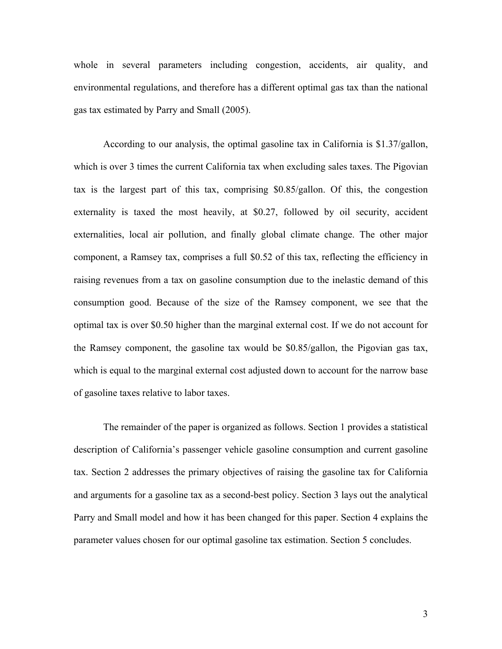whole in several parameters including congestion, accidents, air quality, and environmental regulations, and therefore has a different optimal gas tax than the national gas tax estimated by Parry and Small (2005).

According to our analysis, the optimal gasoline tax in California is \$1.37/gallon, which is over 3 times the current California tax when excluding sales taxes. The Pigovian tax is the largest part of this tax, comprising \$0.85/gallon. Of this, the congestion externality is taxed the most heavily, at \$0.27, followed by oil security, accident externalities, local air pollution, and finally global climate change. The other major component, a Ramsey tax, comprises a full \$0.52 of this tax, reflecting the efficiency in raising revenues from a tax on gasoline consumption due to the inelastic demand of this consumption good. Because of the size of the Ramsey component, we see that the optimal tax is over \$0.50 higher than the marginal external cost. If we do not account for the Ramsey component, the gasoline tax would be \$0.85/gallon, the Pigovian gas tax, which is equal to the marginal external cost adjusted down to account for the narrow base of gasoline taxes relative to labor taxes.

The remainder of the paper is organized as follows. Section 1 provides a statistical description of California's passenger vehicle gasoline consumption and current gasoline tax. Section 2 addresses the primary objectives of raising the gasoline tax for California and arguments for a gasoline tax as a second-best policy. Section 3 lays out the analytical Parry and Small model and how it has been changed for this paper. Section 4 explains the parameter values chosen for our optimal gasoline tax estimation. Section 5 concludes.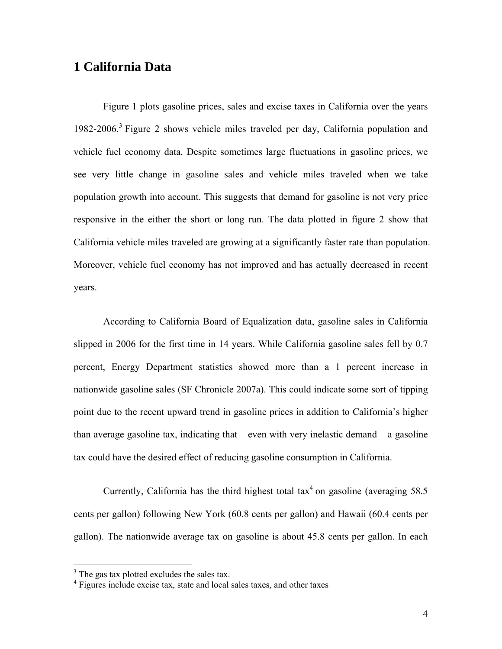## **1 California Data**

Figure 1 plots gasoline prices, sales and excise taxes in California over the years 1982-2006.<sup>3</sup> Figure 2 shows vehicle miles traveled per day, California population and vehicle fuel economy data. Despite sometimes large fluctuations in gasoline prices, we see very little change in gasoline sales and vehicle miles traveled when we take population growth into account. This suggests that demand for gasoline is not very price responsive in the either the short or long run. The data plotted in figure 2 show that California vehicle miles traveled are growing at a significantly faster rate than population. Moreover, vehicle fuel economy has not improved and has actually decreased in recent years.

According to California Board of Equalization data, gasoline sales in California slipped in 2006 for the first time in 14 years. While California gasoline sales fell by 0.7 percent, Energy Department statistics showed more than a 1 percent increase in nationwide gasoline sales (SF Chronicle 2007a). This could indicate some sort of tipping point due to the recent upward trend in gasoline prices in addition to California's higher than average gasoline tax, indicating that – even with very inelastic demand – a gasoline tax could have the desired effect of reducing gasoline consumption in California.

Currently, California has the third highest total  $\text{tax}^4$  on gasoline (averaging 58.5) cents per gallon) following New York (60.8 cents per gallon) and Hawaii (60.4 cents per gallon). The nationwide average tax on gasoline is about 45.8 cents per gallon. In each

<sup>&</sup>lt;sup>3</sup> The gas tax plotted excludes the sales tax.

<sup>&</sup>lt;sup>4</sup> Figures include excise tax, state and local sales taxes, and other taxes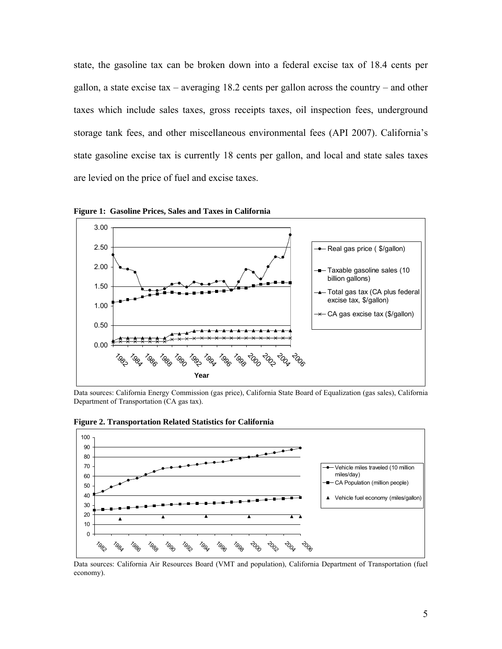state, the gasoline tax can be broken down into a federal excise tax of 18.4 cents per gallon, a state excise tax – averaging 18.2 cents per gallon across the country – and other taxes which include sales taxes, gross receipts taxes, oil inspection fees, underground storage tank fees, and other miscellaneous environmental fees (API 2007). California's state gasoline excise tax is currently 18 cents per gallon, and local and state sales taxes are levied on the price of fuel and excise taxes.



**Figure 1: Gasoline Prices, Sales and Taxes in California** 

Data sources: California Energy Commission (gas price), California State Board of Equalization (gas sales), California Department of Transportation (CA gas tax).



**Figure 2. Transportation Related Statistics for California** 

Data sources: California Air Resources Board (VMT and population), California Department of Transportation (fuel economy).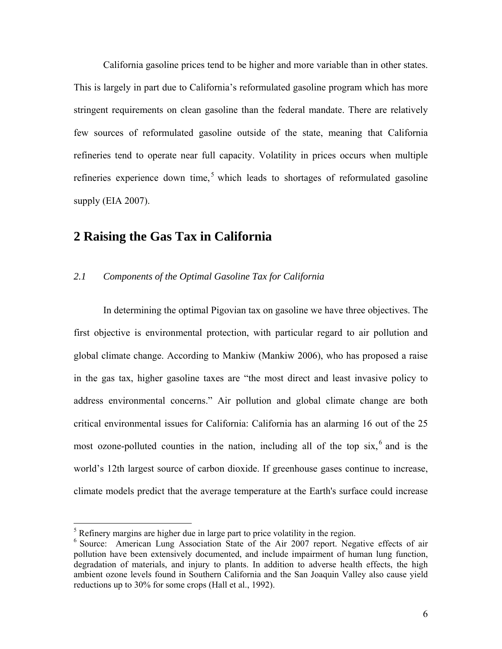California gasoline prices tend to be higher and more variable than in other states. This is largely in part due to California's reformulated gasoline program which has more stringent requirements on clean gasoline than the federal mandate. There are relatively few sources of reformulated gasoline outside of the state, meaning that California refineries tend to operate near full capacity. Volatility in prices occurs when multiple refineries experience down time,<sup>5</sup> which leads to shortages of reformulated gasoline supply (EIA 2007).

## **2 Raising the Gas Tax in California**

#### *2.1 Components of the Optimal Gasoline Tax for California*

In determining the optimal Pigovian tax on gasoline we have three objectives. The first objective is environmental protection, with particular regard to air pollution and global climate change. According to Mankiw (Mankiw 2006), who has proposed a raise in the gas tax, higher gasoline taxes are "the most direct and least invasive policy to address environmental concerns." Air pollution and global climate change are both critical environmental issues for California: California has an alarming 16 out of the 25 most ozone-polluted counties in the nation, including all of the top  $six$ ,  $\delta$  and is the world's 12th largest source of carbon dioxide. If greenhouse gases continue to increase, climate models predict that the average temperature at the Earth's surface could increase

 $<sup>5</sup>$  Refinery margins are higher due in large part to price volatility in the region.</sup>

<sup>&</sup>lt;sup>6</sup> Source: American Lung Association State of the Air 2007 report. Negative effects of air pollution have been extensively documented, and include impairment of human lung function, degradation of materials, and injury to plants. In addition to adverse health effects, the high ambient ozone levels found in Southern California and the San Joaquin Valley also cause yield reductions up to 30% for some crops (Hall et al., 1992).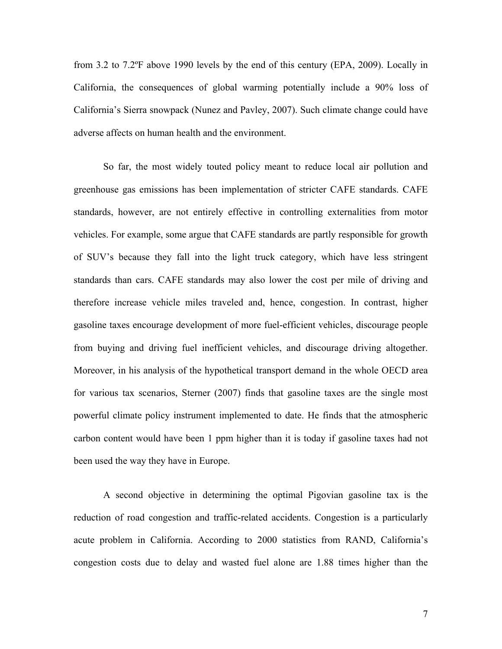from 3.2 to 7.2ºF above 1990 levels by the end of this century (EPA, 2009). Locally in California, the consequences of global warming potentially include a 90% loss of California's Sierra snowpack (Nunez and Pavley, 2007). Such climate change could have adverse affects on human health and the environment.

So far, the most widely touted policy meant to reduce local air pollution and greenhouse gas emissions has been implementation of stricter CAFE standards. CAFE standards, however, are not entirely effective in controlling externalities from motor vehicles. For example, some argue that CAFE standards are partly responsible for growth of SUV's because they fall into the light truck category, which have less stringent standards than cars. CAFE standards may also lower the cost per mile of driving and therefore increase vehicle miles traveled and, hence, congestion. In contrast, higher gasoline taxes encourage development of more fuel-efficient vehicles, discourage people from buying and driving fuel inefficient vehicles, and discourage driving altogether. Moreover, in his analysis of the hypothetical transport demand in the whole OECD area for various tax scenarios, Sterner (2007) finds that gasoline taxes are the single most powerful climate policy instrument implemented to date. He finds that the atmospheric carbon content would have been 1 ppm higher than it is today if gasoline taxes had not been used the way they have in Europe.

 A second objective in determining the optimal Pigovian gasoline tax is the reduction of road congestion and traffic-related accidents. Congestion is a particularly acute problem in California. According to 2000 statistics from RAND, California's congestion costs due to delay and wasted fuel alone are 1.88 times higher than the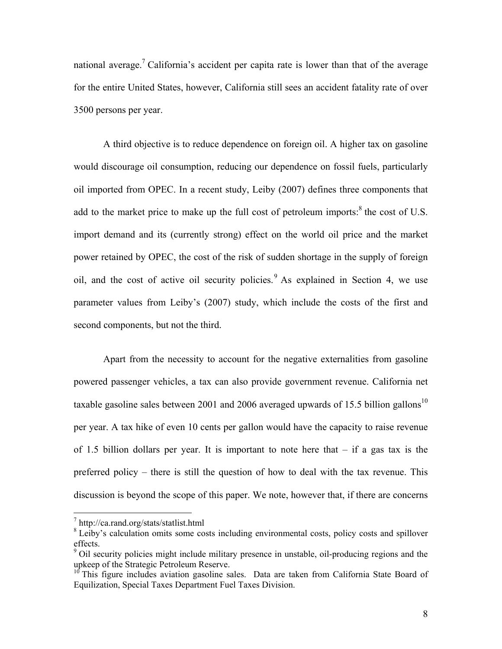national average.<sup>7</sup> California's accident per capita rate is lower than that of the average for the entire United States, however, California still sees an accident fatality rate of over 3500 persons per year.

A third objective is to reduce dependence on foreign oil. A higher tax on gasoline would discourage oil consumption, reducing our dependence on fossil fuels, particularly oil imported from OPEC. In a recent study, Leiby (2007) defines three components that add to the market price to make up the full cost of petroleum imports: $8$  the cost of U.S. import demand and its (currently strong) effect on the world oil price and the market power retained by OPEC, the cost of the risk of sudden shortage in the supply of foreign oil, and the cost of active oil security policies. As explained in Section 4, we use parameter values from Leiby's (2007) study, which include the costs of the first and second components, but not the third.

Apart from the necessity to account for the negative externalities from gasoline powered passenger vehicles, a tax can also provide government revenue. California net taxable gasoline sales between 2001 and 2006 averaged upwards of 15.5 billion gallons<sup>10</sup> per year. A tax hike of even 10 cents per gallon would have the capacity to raise revenue of 1.5 billion dollars per year. It is important to note here that  $-$  if a gas tax is the preferred policy – there is still the question of how to deal with the tax revenue. This discussion is beyond the scope of this paper. We note, however that, if there are concerns

1

<sup>7</sup> http://ca.rand.org/stats/statlist.html

<sup>&</sup>lt;sup>8</sup> Leiby's calculation omits some costs including environmental costs, policy costs and spillover effects.

<sup>&</sup>lt;sup>9</sup> Oil security policies might include military presence in unstable, oil-producing regions and the upkeep of the Strategic Petroleum Reserve.

<sup>&</sup>lt;sup>10</sup> This figure includes aviation gasoline sales. Data are taken from California State Board of Equilization, Special Taxes Department Fuel Taxes Division.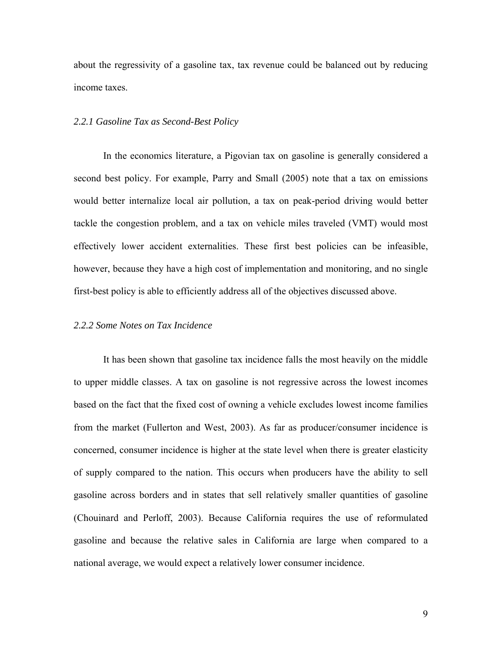about the regressivity of a gasoline tax, tax revenue could be balanced out by reducing income taxes.

#### *2.2.1 Gasoline Tax as Second-Best Policy*

In the economics literature, a Pigovian tax on gasoline is generally considered a second best policy. For example, Parry and Small (2005) note that a tax on emissions would better internalize local air pollution, a tax on peak-period driving would better tackle the congestion problem, and a tax on vehicle miles traveled (VMT) would most effectively lower accident externalities. These first best policies can be infeasible, however, because they have a high cost of implementation and monitoring, and no single first-best policy is able to efficiently address all of the objectives discussed above.

#### *2.2.2 Some Notes on Tax Incidence*

It has been shown that gasoline tax incidence falls the most heavily on the middle to upper middle classes. A tax on gasoline is not regressive across the lowest incomes based on the fact that the fixed cost of owning a vehicle excludes lowest income families from the market (Fullerton and West, 2003). As far as producer/consumer incidence is concerned, consumer incidence is higher at the state level when there is greater elasticity of supply compared to the nation. This occurs when producers have the ability to sell gasoline across borders and in states that sell relatively smaller quantities of gasoline (Chouinard and Perloff, 2003). Because California requires the use of reformulated gasoline and because the relative sales in California are large when compared to a national average, we would expect a relatively lower consumer incidence.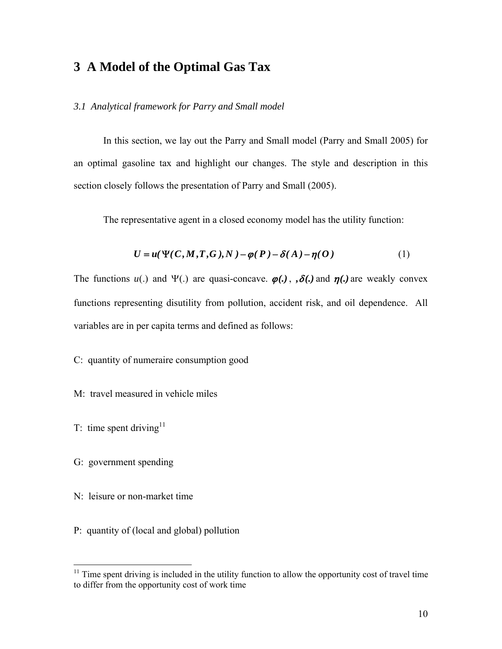## **3 A Model of the Optimal Gas Tax**

*3.1 Analytical framework for Parry and Small model* 

In this section, we lay out the Parry and Small model (Parry and Small 2005) for an optimal gasoline tax and highlight our changes. The style and description in this section closely follows the presentation of Parry and Small (2005).

The representative agent in a closed economy model has the utility function:

$$
U = u(\Psi(C, M, T, G), N) - \varphi(P) - \delta(A) - \eta(O)
$$
\n(1)

The functions  $u(.)$  and  $\Psi(.)$  are quasi-concave.  $\varphi(.)$ ,  $\delta(.)$  and  $\eta(.)$  are weakly convex functions representing disutility from pollution, accident risk, and oil dependence. All variables are in per capita terms and defined as follows:

C: quantity of numeraire consumption good

M: travel measured in vehicle miles

- T: time spent driving<sup>11</sup>
- G: government spending

- N: leisure or non-market time
- P: quantity of (local and global) pollution

 $11$  Time spent driving is included in the utility function to allow the opportunity cost of travel time to differ from the opportunity cost of work time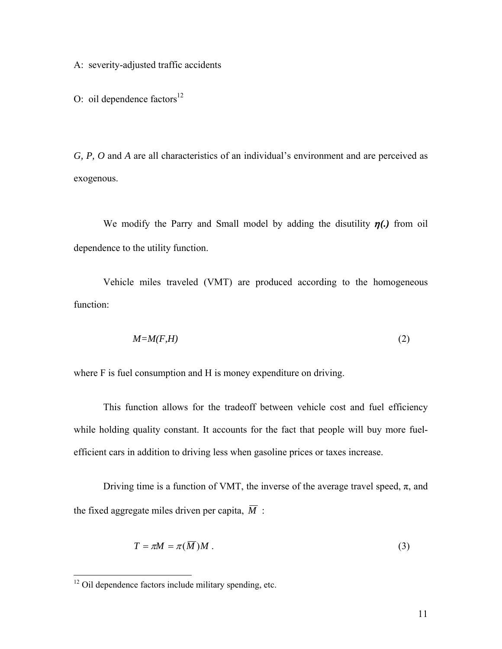A: severity-adjusted traffic accidents

O: oil dependence  $factors<sup>12</sup>$ 

*G, P, O* and *A* are all characteristics of an individual's environment and are perceived as exogenous.

We modify the Parry and Small model by adding the disutility  $\eta(.)$  from oil dependence to the utility function.

Vehicle miles traveled (VMT) are produced according to the homogeneous function:

$$
M=M(F,H) \tag{2}
$$

where F is fuel consumption and H is money expenditure on driving.

This function allows for the tradeoff between vehicle cost and fuel efficiency while holding quality constant. It accounts for the fact that people will buy more fuelefficient cars in addition to driving less when gasoline prices or taxes increase.

Driving time is a function of VMT, the inverse of the average travel speed,  $\pi$ , and the fixed aggregate miles driven per capita,  $\overline{M}$  :

$$
T = \pi M = \pi \overline{(M)}M . \tag{3}
$$

 $12$  Oil dependence factors include military spending, etc.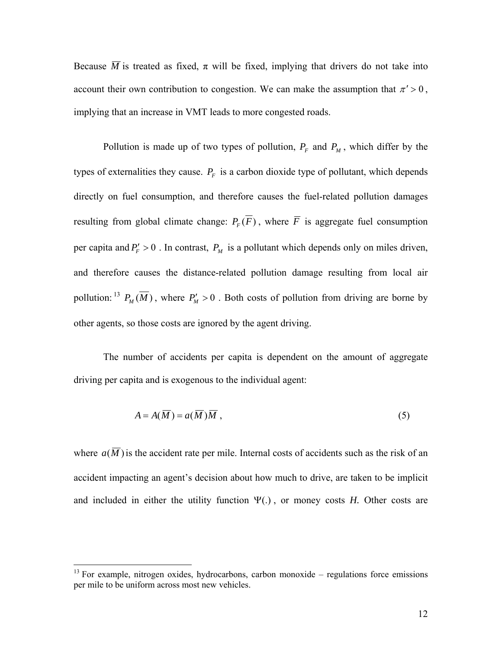Because  $\overline{M}$  is treated as fixed,  $\pi$  will be fixed, implying that drivers do not take into account their own contribution to congestion. We can make the assumption that  $\pi' > 0$ , implying that an increase in VMT leads to more congested roads.

Pollution is made up of two types of pollution,  $P_F$  and  $P_M$ , which differ by the types of externalities they cause.  $P<sub>F</sub>$  is a carbon dioxide type of pollutant, which depends directly on fuel consumption, and therefore causes the fuel-related pollution damages resulting from global climate change:  $P_F(\overline{F})$ , where  $\overline{F}$  is aggregate fuel consumption per capita and  $P'_F > 0$ . In contrast,  $P_M$  is a pollutant which depends only on miles driven, and therefore causes the distance-related pollution damage resulting from local air pollution: <sup>13</sup>  $P_M(\overline{M})$ , where  $P'_M > 0$ . Both costs of pollution from driving are borne by other agents, so those costs are ignored by the agent driving.

The number of accidents per capita is dependent on the amount of aggregate driving per capita and is exogenous to the individual agent:

$$
A = A(\overline{M}) = a(\overline{M})\overline{M}, \qquad (5)
$$

where  $a(\overline{M})$  is the accident rate per mile. Internal costs of accidents such as the risk of an accident impacting an agent's decision about how much to drive, are taken to be implicit and included in either the utility function  $\Psi(.)$ , or money costs *H*. Other costs are

 $13$  For example, nitrogen oxides, hydrocarbons, carbon monoxide – regulations force emissions per mile to be uniform across most new vehicles.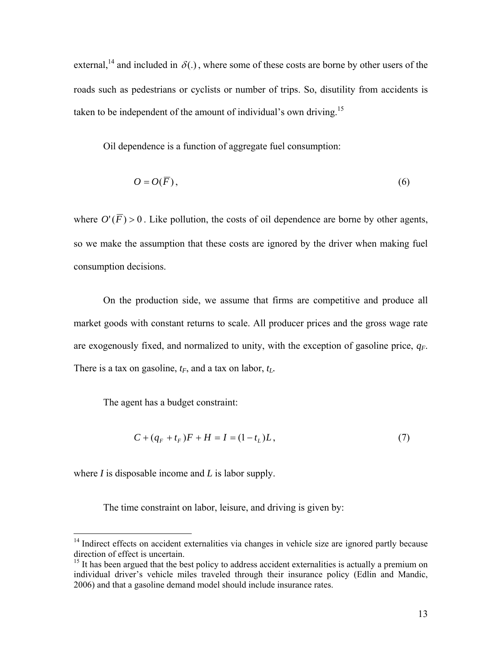external,<sup>14</sup> and included in  $\delta(.)$ , where some of these costs are borne by other users of the roads such as pedestrians or cyclists or number of trips. So, disutility from accidents is taken to be independent of the amount of individual's own driving.<sup>15</sup>

Oil dependence is a function of aggregate fuel consumption:

$$
O = O(\overline{F}),\tag{6}
$$

where  $O'(\overline{F}) > 0$ . Like pollution, the costs of oil dependence are borne by other agents, so we make the assumption that these costs are ignored by the driver when making fuel consumption decisions.

On the production side, we assume that firms are competitive and produce all market goods with constant returns to scale. All producer prices and the gross wage rate are exogenously fixed, and normalized to unity, with the exception of gasoline price, *qF*. There is a tax on gasoline,  $t_F$ , and a tax on labor,  $t_L$ .

The agent has a budget constraint:

$$
C + (q_F + t_F)F + H = I = (1 - t_L)L,
$$
\n(7)

where *I* is disposable income and *L* is labor supply.

 $\overline{a}$ 

The time constraint on labor, leisure, and driving is given by:

 $14$  Indirect effects on accident externalities via changes in vehicle size are ignored partly because direction of effect is uncertain.

 $<sup>15</sup>$  It has been argued that the best policy to address accident externalities is actually a premium on</sup> individual driver's vehicle miles traveled through their insurance policy (Edlin and Mandic, 2006) and that a gasoline demand model should include insurance rates.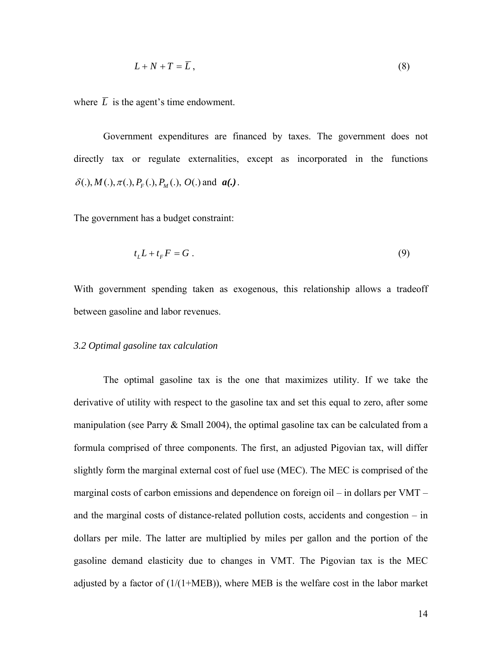$$
L + N + T = \overline{L},\tag{8}
$$

where  $\overline{L}$  is the agent's time endowment.

Government expenditures are financed by taxes. The government does not directly tax or regulate externalities, except as incorporated in the functions  $\delta(.)$ ,  $M(.)$ ,  $\pi(.)$ ,  $P_F(.)$ ,  $P_M(.)$ ,  $O(.)$  and  $a(.)$ .

The government has a budget constraint:

$$
t_L L + t_F F = G \tag{9}
$$

With government spending taken as exogenous, this relationship allows a tradeoff between gasoline and labor revenues.

#### *3.2 Optimal gasoline tax calculation*

The optimal gasoline tax is the one that maximizes utility. If we take the derivative of utility with respect to the gasoline tax and set this equal to zero, after some manipulation (see Parry  $&$  Small 2004), the optimal gasoline tax can be calculated from a formula comprised of three components. The first, an adjusted Pigovian tax, will differ slightly form the marginal external cost of fuel use (MEC). The MEC is comprised of the marginal costs of carbon emissions and dependence on foreign oil – in dollars per VMT – and the marginal costs of distance-related pollution costs, accidents and congestion – in dollars per mile. The latter are multiplied by miles per gallon and the portion of the gasoline demand elasticity due to changes in VMT. The Pigovian tax is the MEC adjusted by a factor of  $(1/(1+MEB))$ , where MEB is the welfare cost in the labor market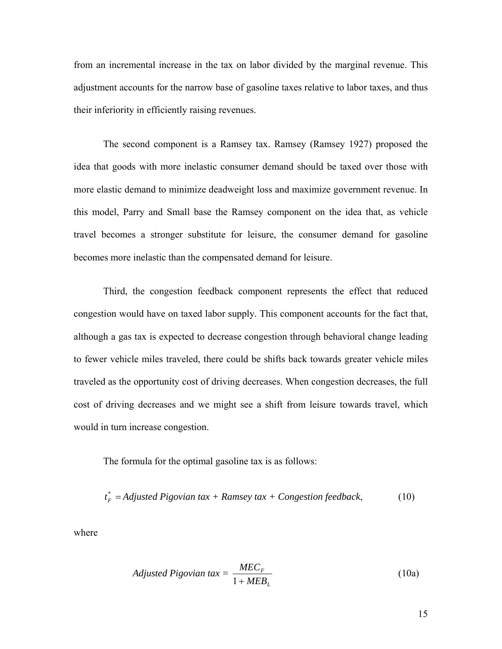from an incremental increase in the tax on labor divided by the marginal revenue. This adjustment accounts for the narrow base of gasoline taxes relative to labor taxes, and thus their inferiority in efficiently raising revenues.

The second component is a Ramsey tax. Ramsey (Ramsey 1927) proposed the idea that goods with more inelastic consumer demand should be taxed over those with more elastic demand to minimize deadweight loss and maximize government revenue. In this model, Parry and Small base the Ramsey component on the idea that, as vehicle travel becomes a stronger substitute for leisure, the consumer demand for gasoline becomes more inelastic than the compensated demand for leisure.

Third, the congestion feedback component represents the effect that reduced congestion would have on taxed labor supply. This component accounts for the fact that, although a gas tax is expected to decrease congestion through behavioral change leading to fewer vehicle miles traveled, there could be shifts back towards greater vehicle miles traveled as the opportunity cost of driving decreases. When congestion decreases, the full cost of driving decreases and we might see a shift from leisure towards travel, which would in turn increase congestion.

The formula for the optimal gasoline tax is as follows:

$$
t_F^* = \text{Adjusted Pigovian tax} + \text{Ramsey tax} + \text{Congestion feedback}, \tag{10}
$$

where

$$
Adjusted \ Pigovian \ tax = \frac{MEC_F}{1 + MEB_L} \tag{10a}
$$

15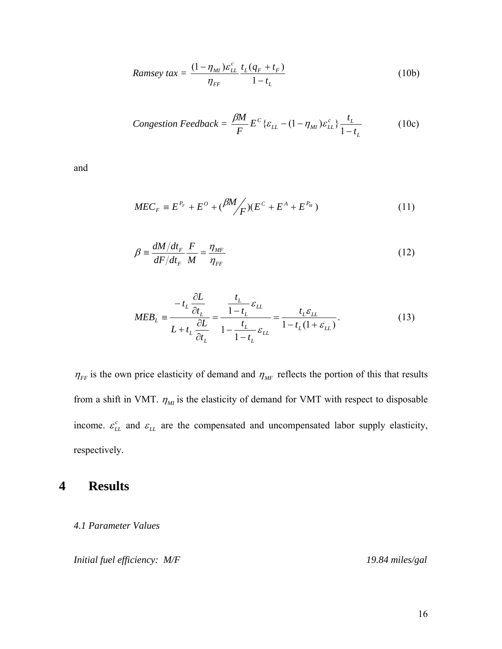*Ramsey tax* = 
$$
\frac{(1 - \eta_M) \varepsilon_{LL}^c}{\eta_{FF}} \frac{t_L(q_F + t_F)}{1 - t_L}
$$
 (10b)

$$
Consestion\ Feedback = \frac{\beta M}{F} E^{c} \{ \varepsilon_{LL} - (1 - \eta_{MI}) \varepsilon_{LL}^{c} \} \frac{t_L}{1 - t_L}
$$
(10c)

and

$$
MEC_F = E^{P_F} + E^O + (\frac{\beta M}{F})(E^C + E^A + E^{P_M})
$$
\n(11)

$$
\beta = \frac{dM/dt_F}{dF/dt_F} \frac{F}{M} = \frac{\eta_{MF}}{\eta_{FF}}
$$
\n(12)

$$
MED_{L} = \frac{-t_{L} \frac{\partial L}{\partial t_{L}}}{L + t_{L} \frac{\partial L}{\partial t_{L}}} = \frac{\frac{t_{L}}{1 - t_{L}} \varepsilon_{LL}}{1 - \frac{t_{L}}{1 - t_{L}} \varepsilon_{LL}} = \frac{t_{L} \varepsilon_{LL}}{1 - t_{L} (1 + \varepsilon_{LL})}.
$$
(13)

 $\eta_{FF}$  is the own price elasticity of demand and  $\eta_{MF}$  reflects the portion of this that results from a shift in VMT.  $\eta_M$  is the elasticity of demand for VMT with respect to disposable income.  $\varepsilon_{LL}^c$  and  $\varepsilon_{LL}$  are the compensated and uncompensated labor supply elasticity, respectively.

## **4 Results**

## *4.1 Parameter Values*

*Initial fuel efficiency: M/F* 19.84 miles/gal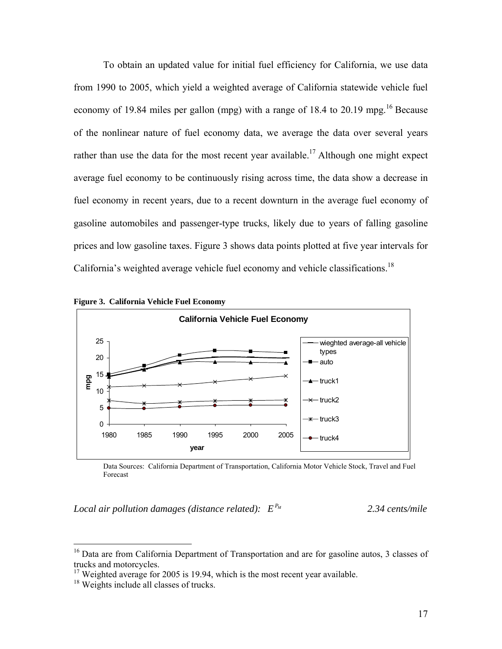To obtain an updated value for initial fuel efficiency for California, we use data from 1990 to 2005, which yield a weighted average of California statewide vehicle fuel economy of 19.84 miles per gallon (mpg) with a range of 18.4 to 20.19 mpg.<sup>16</sup> Because of the nonlinear nature of fuel economy data, we average the data over several years rather than use the data for the most recent year available.<sup>17</sup> Although one might expect average fuel economy to be continuously rising across time, the data show a decrease in fuel economy in recent years, due to a recent downturn in the average fuel economy of gasoline automobiles and passenger-type trucks, likely due to years of falling gasoline prices and low gasoline taxes. Figure 3 shows data points plotted at five year intervals for California's weighted average vehicle fuel economy and vehicle classifications.<sup>18</sup>



**Figure 3. California Vehicle Fuel Economy** 

Data Sources: California Department of Transportation, California Motor Vehicle Stock, Travel and Fuel Forecast

*Local air pollution damages (distance related): PM E 2.34 cents/mile*

<sup>&</sup>lt;sup>16</sup> Data are from California Department of Transportation and are for gasoline autos, 3 classes of trucks and motorcycles.

 $17$  Weighted average for 2005 is 19.94, which is the most recent year available.

<sup>&</sup>lt;sup>18</sup> Weights include all classes of trucks.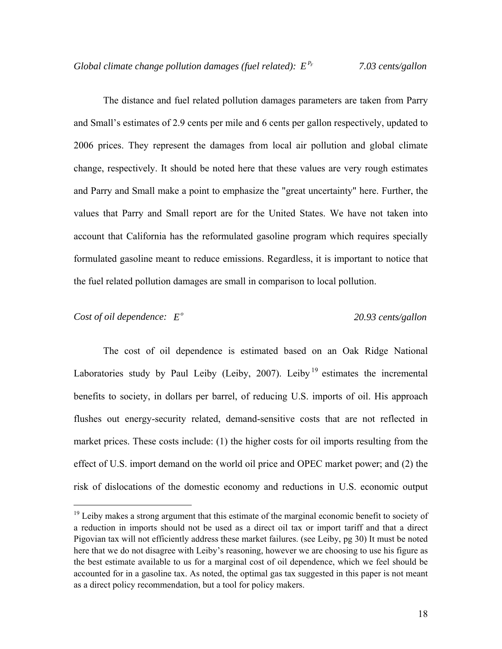The distance and fuel related pollution damages parameters are taken from Parry and Small's estimates of 2.9 cents per mile and 6 cents per gallon respectively, updated to 2006 prices. They represent the damages from local air pollution and global climate change, respectively. It should be noted here that these values are very rough estimates and Parry and Small make a point to emphasize the "great uncertainty" here. Further, the values that Parry and Small report are for the United States. We have not taken into account that California has the reformulated gasoline program which requires specially formulated gasoline meant to reduce emissions. Regardless, it is important to notice that the fuel related pollution damages are small in comparison to local pollution.

## *Cost of oil dependence:*  $E^{\circ}$  20.93 cents/gallon

 $\overline{a}$ 

The cost of oil dependence is estimated based on an Oak Ridge National Laboratories study by Paul Leiby (Leiby, 2007). Leiby  $19$  estimates the incremental benefits to society, in dollars per barrel, of reducing U.S. imports of oil. His approach flushes out energy-security related, demand-sensitive costs that are not reflected in market prices. These costs include: (1) the higher costs for oil imports resulting from the effect of U.S. import demand on the world oil price and OPEC market power; and (2) the risk of dislocations of the domestic economy and reductions in U.S. economic output

<sup>&</sup>lt;sup>19</sup> Leiby makes a strong argument that this estimate of the marginal economic benefit to society of a reduction in imports should not be used as a direct oil tax or import tariff and that a direct Pigovian tax will not efficiently address these market failures. (see Leiby, pg 30) It must be noted here that we do not disagree with Leiby's reasoning, however we are choosing to use his figure as the best estimate available to us for a marginal cost of oil dependence, which we feel should be accounted for in a gasoline tax. As noted, the optimal gas tax suggested in this paper is not meant as a direct policy recommendation, but a tool for policy makers.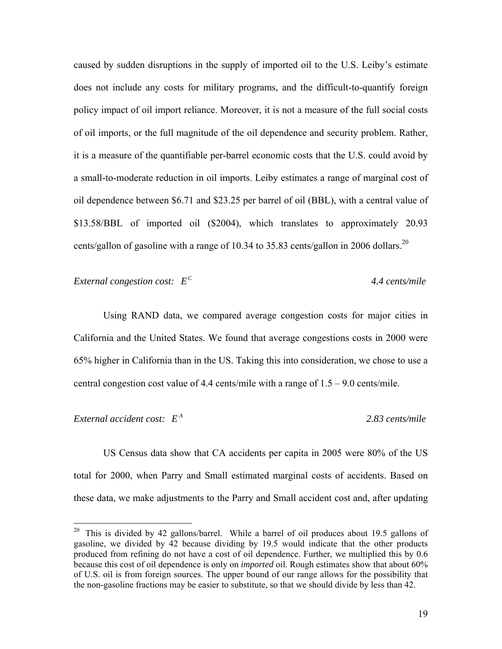caused by sudden disruptions in the supply of imported oil to the U.S. Leiby's estimate does not include any costs for military programs, and the difficult-to-quantify foreign policy impact of oil import reliance. Moreover, it is not a measure of the full social costs of oil imports, or the full magnitude of the oil dependence and security problem. Rather, it is a measure of the quantifiable per-barrel economic costs that the U.S. could avoid by a small-to-moderate reduction in oil imports. Leiby estimates a range of marginal cost of oil dependence between \$6.71 and \$23.25 per barrel of oil (BBL), with a central value of \$13.58/BBL of imported oil (\$2004), which translates to approximately 20.93 cents/gallon of gasoline with a range of 10.34 to 35.83 cents/gallon in 2006 dollars.<sup>20</sup>

## *External congestion cost:*  $E^C$  *E A.4 cents/mile A.4 cents/mile*

Using RAND data, we compared average congestion costs for major cities in California and the United States. We found that average congestions costs in 2000 were 65% higher in California than in the US. Taking this into consideration, we chose to use a central congestion cost value of 4.4 cents/mile with a range of  $1.5 - 9.0$  cents/mile.

#### *External accident cost:*  $E^A$  **External accident cost:**  $E^A$  **External accident cost:**  $E^A$

 $\overline{a}$ 

US Census data show that CA accidents per capita in 2005 were 80% of the US total for 2000, when Parry and Small estimated marginal costs of accidents. Based on these data, we make adjustments to the Parry and Small accident cost and, after updating

<sup>&</sup>lt;sup>20</sup> This is divided by 42 gallons/barrel. While a barrel of oil produces about 19.5 gallons of gasoline, we divided by 42 because dividing by 19.5 would indicate that the other products produced from refining do not have a cost of oil dependence. Further, we multiplied this by 0.6 because this cost of oil dependence is only on *imported* oil. Rough estimates show that about 60% of U.S. oil is from foreign sources. The upper bound of our range allows for the possibility that the non-gasoline fractions may be easier to substitute, so that we should divide by less than 42.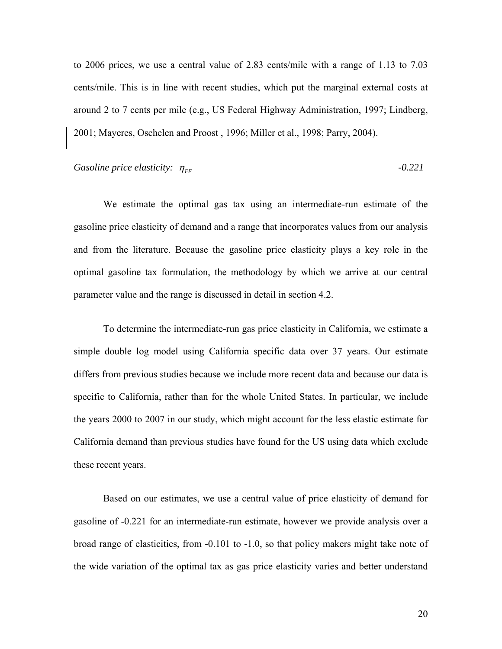to 2006 prices, we use a central value of 2.83 cents/mile with a range of 1.13 to 7.03 cents/mile. This is in line with recent studies, which put the marginal external costs at around 2 to 7 cents per mile (e.g., US Federal Highway Administration, 1997; Lindberg, 2001; Mayeres, Oschelen and Proost , 1996; Miller et al., 1998; Parry, 2004).

*Gasoline price elasticity:* 
$$
\eta_{FF}
$$
  $$ 

We estimate the optimal gas tax using an intermediate-run estimate of the gasoline price elasticity of demand and a range that incorporates values from our analysis and from the literature. Because the gasoline price elasticity plays a key role in the optimal gasoline tax formulation, the methodology by which we arrive at our central parameter value and the range is discussed in detail in section 4.2.

To determine the intermediate-run gas price elasticity in California, we estimate a simple double log model using California specific data over 37 years. Our estimate differs from previous studies because we include more recent data and because our data is specific to California, rather than for the whole United States. In particular, we include the years 2000 to 2007 in our study, which might account for the less elastic estimate for California demand than previous studies have found for the US using data which exclude these recent years.

Based on our estimates, we use a central value of price elasticity of demand for gasoline of -0.221 for an intermediate-run estimate, however we provide analysis over a broad range of elasticities, from -0.101 to -1.0, so that policy makers might take note of the wide variation of the optimal tax as gas price elasticity varies and better understand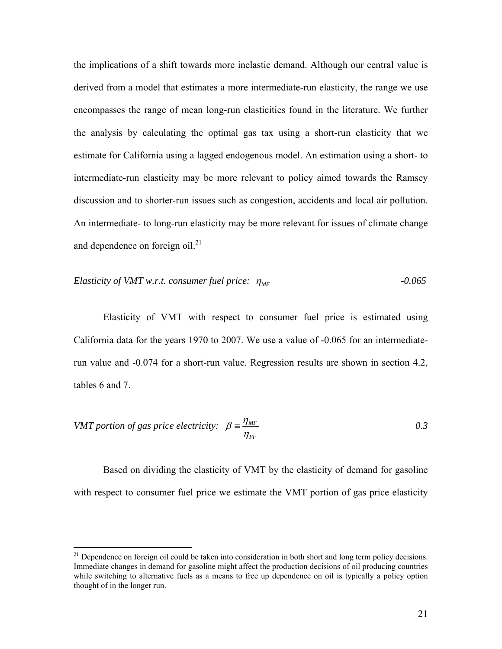the implications of a shift towards more inelastic demand. Although our central value is derived from a model that estimates a more intermediate-run elasticity, the range we use encompasses the range of mean long-run elasticities found in the literature. We further the analysis by calculating the optimal gas tax using a short-run elasticity that we estimate for California using a lagged endogenous model. An estimation using a short- to intermediate-run elasticity may be more relevant to policy aimed towards the Ramsey discussion and to shorter-run issues such as congestion, accidents and local air pollution. An intermediate- to long-run elasticity may be more relevant for issues of climate change and dependence on foreign oil. $^{21}$ 

*Elasticity of VMT w.r.t. consumer fuel price: 
$$
\eta_{MF}
$$
 -0.065*

Elasticity of VMT with respect to consumer fuel price is estimated using California data for the years 1970 to 2007. We use a value of -0.065 for an intermediaterun value and -0.074 for a short-run value. Regression results are shown in section 4.2, tables 6 and 7.

*VMT* portion of gas price electricity: 
$$
\beta = \frac{\eta_{MF}}{\eta_{FF}}
$$
 0.3

Based on dividing the elasticity of VMT by the elasticity of demand for gasoline with respect to consumer fuel price we estimate the VMT portion of gas price elasticity

 $21$  Dependence on foreign oil could be taken into consideration in both short and long term policy decisions. Immediate changes in demand for gasoline might affect the production decisions of oil producing countries while switching to alternative fuels as a means to free up dependence on oil is typically a policy option thought of in the longer run.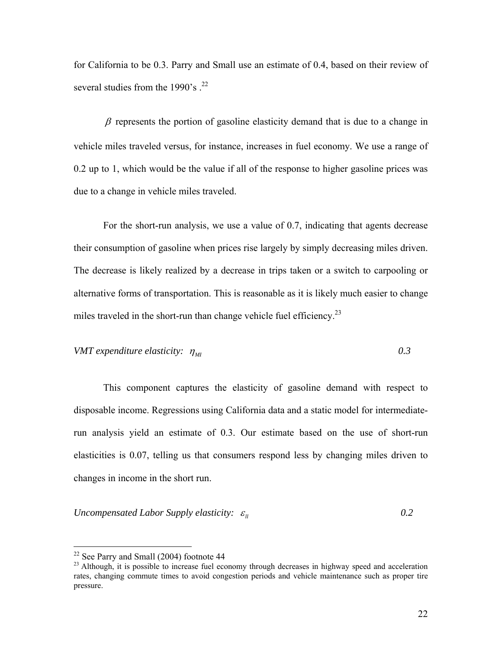for California to be 0.3. Parry and Small use an estimate of 0.4, based on their review of several studies from the 1990's  $.22$ 

 $\beta$  represents the portion of gasoline elasticity demand that is due to a change in vehicle miles traveled versus, for instance, increases in fuel economy. We use a range of 0.2 up to 1, which would be the value if all of the response to higher gasoline prices was due to a change in vehicle miles traveled.

For the short-run analysis, we use a value of 0.7, indicating that agents decrease their consumption of gasoline when prices rise largely by simply decreasing miles driven. The decrease is likely realized by a decrease in trips taken or a switch to carpooling or alternative forms of transportation. This is reasonable as it is likely much easier to change miles traveled in the short-run than change vehicle fuel efficiency.<sup>23</sup>

**VMT** expenditure elasticity: 
$$
\eta_{\scriptscriptstyle M1}
$$
 0.3

This component captures the elasticity of gasoline demand with respect to disposable income. Regressions using California data and a static model for intermediaterun analysis yield an estimate of 0.3. Our estimate based on the use of short-run elasticities is 0.07, telling us that consumers respond less by changing miles driven to changes in income in the short run.

#### *Uncompensated Labor Supply elasticity:*  $\varepsilon_{\parallel}$   $\qquad \qquad 0.2$

 $22$  See Parry and Small (2004) footnote 44

<sup>&</sup>lt;sup>23</sup> Although, it is possible to increase fuel economy through decreases in highway speed and acceleration rates, changing commute times to avoid congestion periods and vehicle maintenance such as proper tire pressure.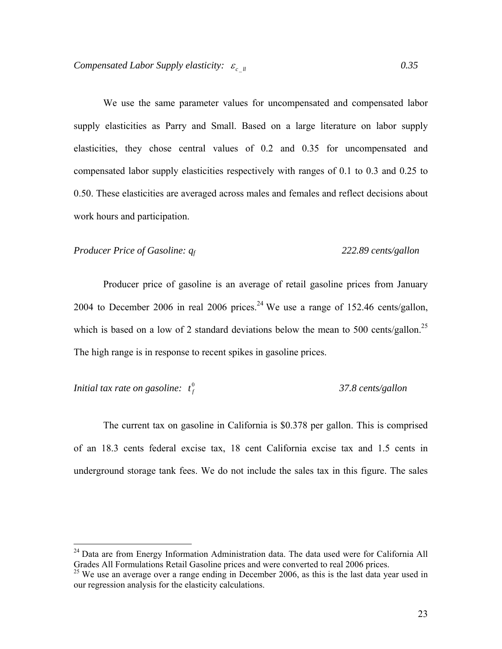We use the same parameter values for uncompensated and compensated labor supply elasticities as Parry and Small. Based on a large literature on labor supply elasticities, they chose central values of 0.2 and 0.35 for uncompensated and compensated labor supply elasticities respectively with ranges of 0.1 to 0.3 and 0.25 to 0.50. These elasticities are averaged across males and females and reflect decisions about work hours and participation.

#### *Producer Price of Gasoline: qf 222.89 cents/gallon*

Producer price of gasoline is an average of retail gasoline prices from January 2004 to December 2006 in real 2006 prices.<sup>24</sup> We use a range of 152.46 cents/gallon, which is based on a low of 2 standard deviations below the mean to 500 cents/gallon.<sup>25</sup> The high range is in response to recent spikes in gasoline prices.

#### *Initial tax rate on gasoline:*  $t_{\epsilon}^{0}$ *<sup>f</sup> t 37.8 cents/gallon*

The current tax on gasoline in California is \$0.378 per gallon. This is comprised of an 18.3 cents federal excise tax, 18 cent California excise tax and 1.5 cents in underground storage tank fees. We do not include the sales tax in this figure. The sales

 $24$  Data are from Energy Information Administration data. The data used were for California All Grades All Formulations Retail Gasoline prices and were converted to real 2006 prices.

 $25$  We use an average over a range ending in December 2006, as this is the last data year used in our regression analysis for the elasticity calculations.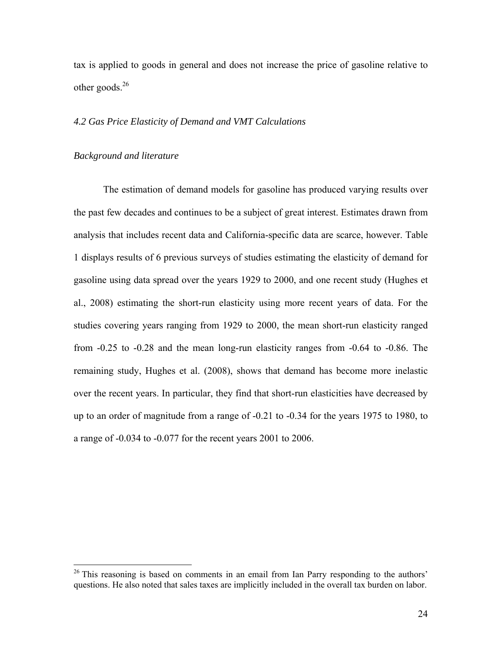tax is applied to goods in general and does not increase the price of gasoline relative to other goods.<sup>26</sup>

### *4.2 Gas Price Elasticity of Demand and VMT Calculations*

#### *Background and literature*

1

The estimation of demand models for gasoline has produced varying results over the past few decades and continues to be a subject of great interest. Estimates drawn from analysis that includes recent data and California-specific data are scarce, however. Table 1 displays results of 6 previous surveys of studies estimating the elasticity of demand for gasoline using data spread over the years 1929 to 2000, and one recent study (Hughes et al., 2008) estimating the short-run elasticity using more recent years of data. For the studies covering years ranging from 1929 to 2000, the mean short-run elasticity ranged from -0.25 to -0.28 and the mean long-run elasticity ranges from -0.64 to -0.86. The remaining study, Hughes et al. (2008), shows that demand has become more inelastic over the recent years. In particular, they find that short-run elasticities have decreased by up to an order of magnitude from a range of -0.21 to -0.34 for the years 1975 to 1980, to a range of -0.034 to -0.077 for the recent years 2001 to 2006.

 $26$  This reasoning is based on comments in an email from Ian Parry responding to the authors' questions. He also noted that sales taxes are implicitly included in the overall tax burden on labor.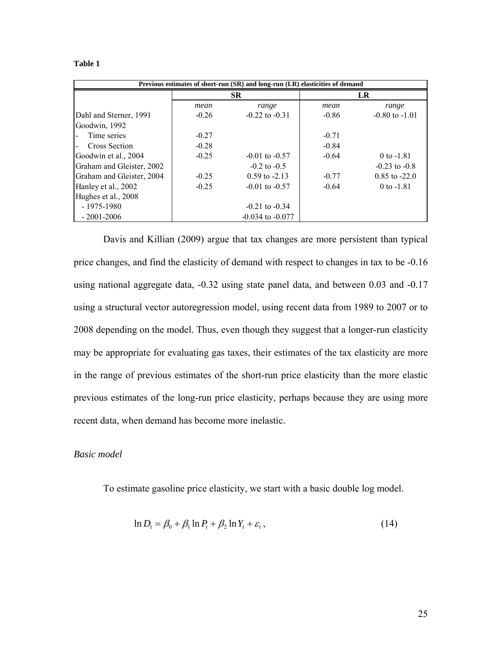| н<br>v<br>×<br>× |
|------------------|
|------------------|

| Previous estimates of short-run (SR) and long-run (LR) elasticities of demand |         |                      |         |                    |
|-------------------------------------------------------------------------------|---------|----------------------|---------|--------------------|
|                                                                               |         | <b>SR</b>            |         | LR                 |
|                                                                               | mean    | range                | mean    | range              |
| Dahl and Sterner, 1991                                                        | $-0.26$ | $-0.22$ to $-0.31$   | $-0.86$ | $-0.80$ to $-1.01$ |
| Goodwin, 1992                                                                 |         |                      |         |                    |
| Time series                                                                   | $-0.27$ |                      | $-0.71$ |                    |
| Cross Section                                                                 | $-0.28$ |                      | $-0.84$ |                    |
| Goodwin et al., 2004                                                          | $-0.25$ | $-0.01$ to $-0.57$   | $-0.64$ | $0$ to $-1.81$     |
| Graham and Gleister, 2002                                                     |         | $-0.2$ to $-0.5$     |         | $-0.23$ to $-0.8$  |
| Graham and Gleister, 2004                                                     | $-0.25$ | $0.59$ to $-2.13$    | $-0.77$ | $0.85$ to $-22.0$  |
| Hanley et al., 2002                                                           | $-0.25$ | $-0.01$ to $-0.57$   | $-0.64$ | 0 to $-1.81$       |
| Hughes et al., 2008                                                           |         |                      |         |                    |
| $-1975 - 1980$                                                                |         | $-0.21$ to $-0.34$   |         |                    |
| $-2001 - 2006$                                                                |         | $-0.034$ to $-0.077$ |         |                    |

Davis and Killian (2009) argue that tax changes are more persistent than typical price changes, and find the elasticity of demand with respect to changes in tax to be -0.16 using national aggregate data, -0.32 using state panel data, and between 0.03 and -0.17 using a structural vector autoregression model, using recent data from 1989 to 2007 or to 2008 depending on the model. Thus, even though they suggest that a longer-run elasticity may be appropriate for evaluating gas taxes, their estimates of the tax elasticity are more in the range of previous estimates of the short-run price elasticity than the more elastic previous estimates of the long-run price elasticity, perhaps because they are using more recent data, when demand has become more inelastic.

#### *Basic model*

To estimate gasoline price elasticity, we start with a basic double log model.

$$
\ln D_t = \beta_0 + \beta_1 \ln P_t + \beta_2 \ln Y_t + \varepsilon_t, \qquad (14)
$$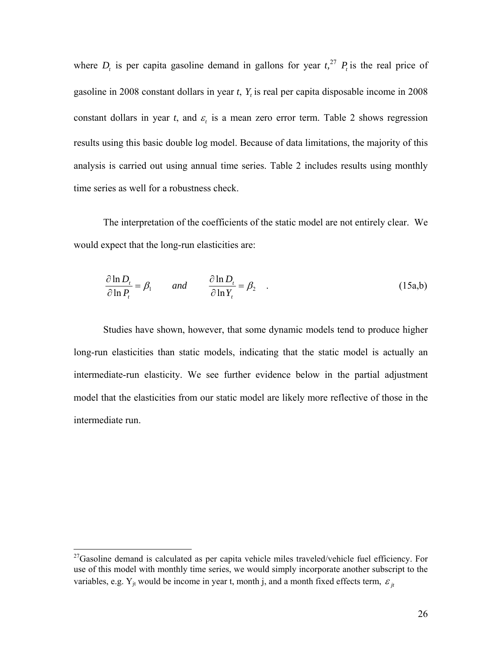where *D<sub>t</sub>* is per capita gasoline demand in gallons for year  $t$ ,<sup>27</sup>, *P<sub>t</sub>* is the real price of gasoline in 2008 constant dollars in year *t*, *Yt* is real per capita disposable income in 2008 constant dollars in year *t*, and  $\varepsilon$  is a mean zero error term. Table 2 shows regression results using this basic double log model. Because of data limitations, the majority of this analysis is carried out using annual time series. Table 2 includes results using monthly time series as well for a robustness check.

The interpretation of the coefficients of the static model are not entirely clear. We would expect that the long-run elasticities are:

$$
\frac{\partial \ln D_t}{\partial \ln P_t} = \beta_1 \qquad \text{and} \qquad \frac{\partial \ln D_t}{\partial \ln Y_t} = \beta_2 \quad . \tag{15a,b}
$$

Studies have shown, however, that some dynamic models tend to produce higher long-run elasticities than static models, indicating that the static model is actually an intermediate-run elasticity. We see further evidence below in the partial adjustment model that the elasticities from our static model are likely more reflective of those in the intermediate run.

 $27$ Gasoline demand is calculated as per capita vehicle miles traveled/vehicle fuel efficiency. For use of this model with monthly time series, we would simply incorporate another subscript to the variables, e.g. Y<sub>jt</sub> would be income in year t, month j, and a month fixed effects term,  $\varepsilon$ <sub>it</sub>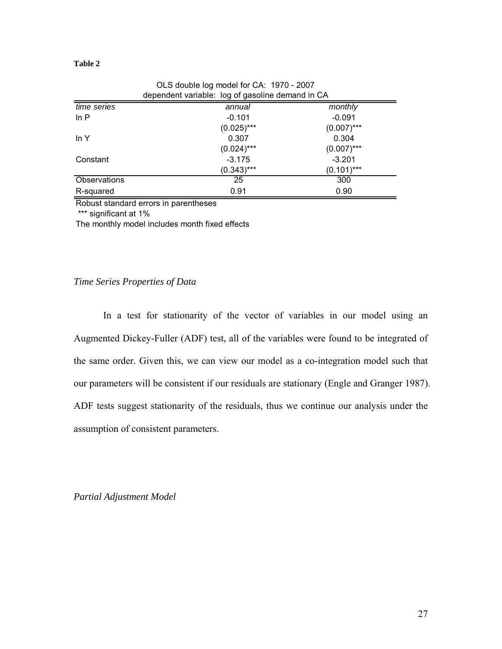| dependent variable: log of gasoline demand in CA |               |               |  |
|--------------------------------------------------|---------------|---------------|--|
| time series                                      | annual        | monthly       |  |
| ln P                                             | $-0.101$      | $-0.091$      |  |
|                                                  | $(0.025)$ *** | $(0.007)$ *** |  |
| In $Y$                                           | 0.307         | 0.304         |  |
|                                                  | $(0.024)$ *** | $(0.007)$ *** |  |
| Constant                                         | $-3.175$      | $-3.201$      |  |
|                                                  | $(0.343)$ *** | $(0.101)$ *** |  |
| Observations                                     | 25            | 300           |  |
| R-squared                                        | 0.91          | 0.90          |  |

OLS double log model for CA: 1970 - 2007

Robust standard errors in parentheses

\*\*\* significant at 1%

The monthly model includes month fixed effects

### *Time Series Properties of Data*

In a test for stationarity of the vector of variables in our model using an Augmented Dickey-Fuller (ADF) test, all of the variables were found to be integrated of the same order. Given this, we can view our model as a co-integration model such that our parameters will be consistent if our residuals are stationary (Engle and Granger 1987). ADF tests suggest stationarity of the residuals, thus we continue our analysis under the assumption of consistent parameters.

*Partial Adjustment Model*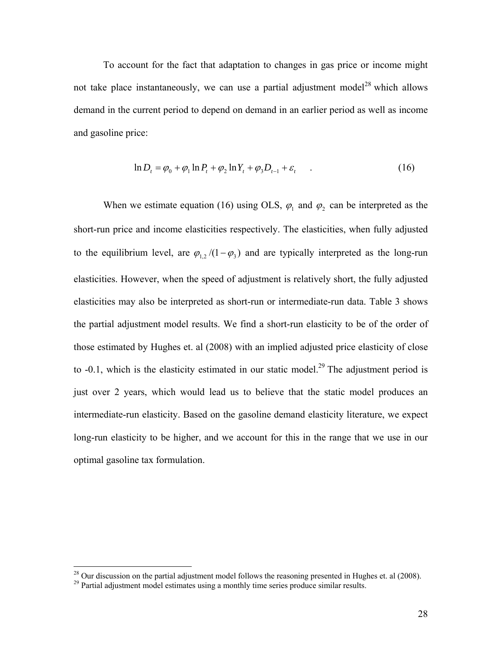To account for the fact that adaptation to changes in gas price or income might not take place instantaneously, we can use a partial adjustment model<sup>28</sup> which allows demand in the current period to depend on demand in an earlier period as well as income and gasoline price:

$$
\ln D_{t} = \varphi_{0} + \varphi_{1} \ln P_{t} + \varphi_{2} \ln Y_{t} + \varphi_{3} D_{t-1} + \varepsilon_{t}
$$
 (16)

When we estimate equation (16) using OLS,  $\varphi_1$  and  $\varphi_2$  can be interpreted as the short-run price and income elasticities respectively. The elasticities, when fully adjusted to the equilibrium level, are  $\varphi_{1,2}/(1 - \varphi_3)$  and are typically interpreted as the long-run elasticities. However, when the speed of adjustment is relatively short, the fully adjusted elasticities may also be interpreted as short-run or intermediate-run data. Table 3 shows the partial adjustment model results. We find a short-run elasticity to be of the order of those estimated by Hughes et. al (2008) with an implied adjusted price elasticity of close to  $-0.1$ , which is the elasticity estimated in our static model.<sup>29</sup> The adjustment period is just over 2 years, which would lead us to believe that the static model produces an intermediate-run elasticity. Based on the gasoline demand elasticity literature, we expect long-run elasticity to be higher, and we account for this in the range that we use in our optimal gasoline tax formulation.

<sup>&</sup>lt;sup>28</sup> Our discussion on the partial adjustment model follows the reasoning presented in Hughes et. al (2008).

<sup>&</sup>lt;sup>29</sup> Partial adjustment model estimates using a monthly time series produce similar results.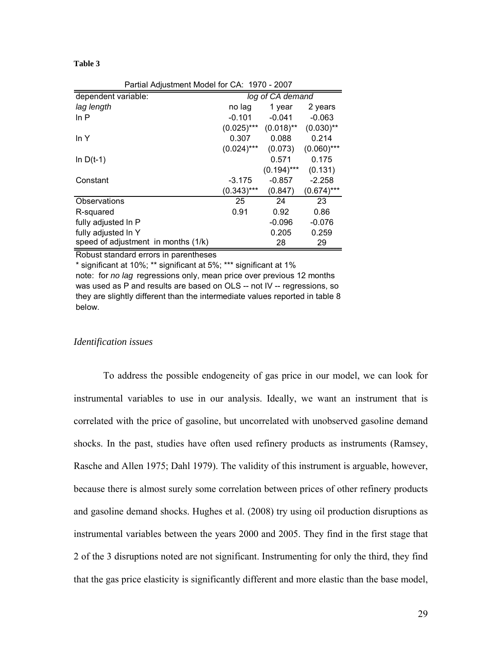| . D |  |
|-----|--|
|-----|--|

| Partial Adjustment Model for CA: 1970 - 2007 |               |                  |               |
|----------------------------------------------|---------------|------------------|---------------|
| dependent variable:                          |               | log of CA demand |               |
| lag length                                   | no lag        | 1 year           | 2 years       |
| In $P$                                       | $-0.101$      | $-0.041$         | $-0.063$      |
|                                              | $(0.025)$ *** | $(0.018)$ **     | $(0.030)$ **  |
| ln Y                                         | 0.307         | 0.088            | 0.214         |
|                                              | $(0.024)$ *** | (0.073)          | $(0.060)$ *** |
| In $D(t-1)$                                  |               | 0.571            | 0.175         |
|                                              |               | $(0.194)$ ***    | (0.131)       |
| Constant                                     | $-3.175$      | $-0.857$         | $-2.258$      |
|                                              | $(0.343)***$  | (0.847)          | $(0.674)$ *** |
| Observations                                 | 25            | 24               | 23            |
| R-squared                                    | 0.91          | 0.92             | 0.86          |
| fully adjusted In P                          |               | $-0.096$         | $-0.076$      |
| fully adjusted In Y                          |               | 0.205            | 0.259         |
| speed of adjustment in months (1/k)          |               | 28               | 29            |

Robust standard errors in parentheses

\* significant at 10%; \*\* significant at 5%; \*\*\* significant at 1%

note: for *no lag* regressions only, mean price over previous 12 months was used as P and results are based on OLS -- not IV -- regressions, so they are slightly different than the intermediate values reported in table 8 below.

#### *Identification issues*

To address the possible endogeneity of gas price in our model, we can look for instrumental variables to use in our analysis. Ideally, we want an instrument that is correlated with the price of gasoline, but uncorrelated with unobserved gasoline demand shocks. In the past, studies have often used refinery products as instruments (Ramsey, Rasche and Allen 1975; Dahl 1979). The validity of this instrument is arguable, however, because there is almost surely some correlation between prices of other refinery products and gasoline demand shocks. Hughes et al. (2008) try using oil production disruptions as instrumental variables between the years 2000 and 2005. They find in the first stage that 2 of the 3 disruptions noted are not significant. Instrumenting for only the third, they find that the gas price elasticity is significantly different and more elastic than the base model,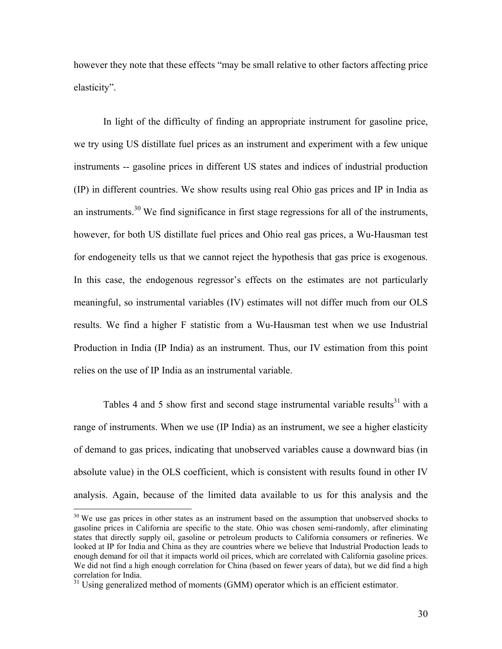however they note that these effects "may be small relative to other factors affecting price elasticity".

In light of the difficulty of finding an appropriate instrument for gasoline price, we try using US distillate fuel prices as an instrument and experiment with a few unique instruments -- gasoline prices in different US states and indices of industrial production (IP) in different countries. We show results using real Ohio gas prices and IP in India as an instruments.<sup>30</sup> We find significance in first stage regressions for all of the instruments, however, for both US distillate fuel prices and Ohio real gas prices, a Wu-Hausman test for endogeneity tells us that we cannot reject the hypothesis that gas price is exogenous. In this case, the endogenous regressor's effects on the estimates are not particularly meaningful, so instrumental variables (IV) estimates will not differ much from our OLS results. We find a higher F statistic from a Wu-Hausman test when we use Industrial Production in India (IP India) as an instrument. Thus, our IV estimation from this point relies on the use of IP India as an instrumental variable.

Tables 4 and 5 show first and second stage instrumental variable results<sup>31</sup> with a range of instruments. When we use (IP India) as an instrument, we see a higher elasticity of demand to gas prices, indicating that unobserved variables cause a downward bias (in absolute value) in the OLS coefficient, which is consistent with results found in other IV analysis. Again, because of the limited data available to us for this analysis and the

 $30$  We use gas prices in other states as an instrument based on the assumption that unobserved shocks to gasoline prices in California are specific to the state. Ohio was chosen semi-randomly, after eliminating states that directly supply oil, gasoline or petroleum products to California consumers or refineries. We looked at IP for India and China as they are countries where we believe that Industrial Production leads to enough demand for oil that it impacts world oil prices, which are correlated with California gasoline prices. We did not find a high enough correlation for China (based on fewer years of data), but we did find a high correlation for India.

<sup>&</sup>lt;sup>31</sup> Using generalized method of moments (GMM) operator which is an efficient estimator.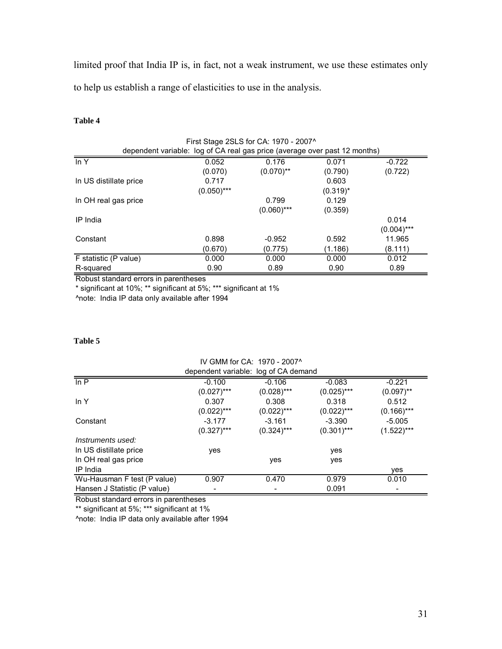limited proof that India IP is, in fact, not a weak instrument, we use these estimates only to help us establish a range of elasticities to use in the analysis.

#### **Table 4**

| First Stage 2SLS for CA: 1970 - 2007^ |                                                                            |               |             |               |  |
|---------------------------------------|----------------------------------------------------------------------------|---------------|-------------|---------------|--|
|                                       | dependent variable: log of CA real gas price (average over past 12 months) |               |             |               |  |
| In $Y$                                | 0.052                                                                      | 0.176         | 0.071       | $-0.722$      |  |
|                                       | (0.070)                                                                    | $(0.070)$ **  | (0.790)     | (0.722)       |  |
| In US distillate price                | 0.717                                                                      |               | 0.603       |               |  |
|                                       | $(0.050)$ ***                                                              |               | $(0.319)^*$ |               |  |
| In OH real gas price                  |                                                                            | 0.799         | 0.129       |               |  |
|                                       |                                                                            | $(0.060)$ *** | (0.359)     |               |  |
| IP India                              |                                                                            |               |             | 0.014         |  |
|                                       |                                                                            |               |             | $(0.004)$ *** |  |
| Constant                              | 0.898                                                                      | $-0.952$      | 0.592       | 11.965        |  |
|                                       | (0.670)                                                                    | (0.775)       | (1.186)     | (8.111)       |  |
| F statistic (P value)                 | 0.000                                                                      | 0.000         | 0.000       | 0.012         |  |
| R-squared                             | 0.90                                                                       | 0.89          | 0.90        | 0.89          |  |

Robust standard errors in parentheses

\* significant at 10%; \*\* significant at 5%; \*\*\* significant at 1%

^note: India IP data only available after 1994

#### **Table 5**

| IV GMM for CA: 1970 - 2007^          |               |               |               |               |  |  |  |
|--------------------------------------|---------------|---------------|---------------|---------------|--|--|--|
| dependent variable: log of CA demand |               |               |               |               |  |  |  |
| In $P$                               | $-0.100$      | $-0.106$      | $-0.083$      | $-0.221$      |  |  |  |
|                                      | $(0.027)$ *** | $(0.028)$ *** | $(0.025)$ *** | $(0.097)$ **  |  |  |  |
| In $Y$                               | 0.307         | 0.308         | 0.318         | 0.512         |  |  |  |
|                                      | $(0.022)$ *** | $(0.022)$ *** | $(0.022)$ *** | $(0.166)$ *** |  |  |  |
| Constant                             | $-3.177$      | $-3.161$      | $-3.390$      | $-5.005$      |  |  |  |
|                                      | $(0.327)$ *** | $(0.324)$ *** | $(0.301)$ *** | $(1.522)***$  |  |  |  |
| Instruments used:                    |               |               |               |               |  |  |  |
| In US distillate price               | yes           |               | yes           |               |  |  |  |
| In OH real gas price                 |               | yes           | yes           |               |  |  |  |
| IP India                             |               |               |               | yes           |  |  |  |
| Wu-Hausman F test (P value)          | 0.907         | 0.470         | 0.979         | 0.010         |  |  |  |
| Hansen J Statistic (P value)         |               |               | 0.091         |               |  |  |  |

Robust standard errors in parentheses

\*\* significant at 5%; \*\*\* significant at 1%

^note: India IP data only available after 1994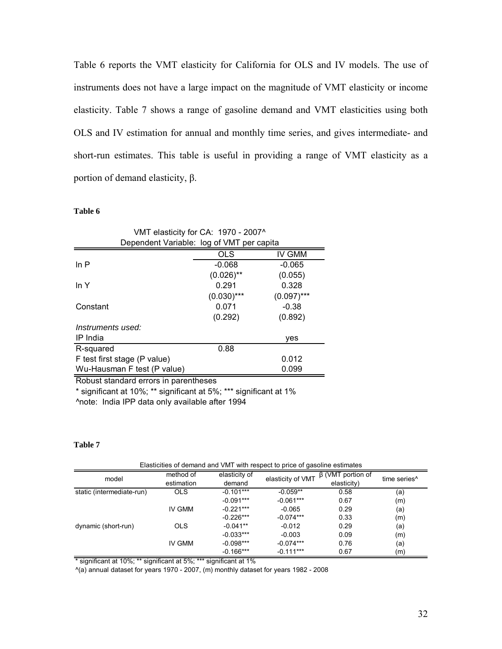Table 6 reports the VMT elasticity for California for OLS and IV models. The use of instruments does not have a large impact on the magnitude of VMT elasticity or income elasticity. Table 7 shows a range of gasoline demand and VMT elasticities using both OLS and IV estimation for annual and monthly time series, and gives intermediate- and short-run estimates. This table is useful in providing a range of VMT elasticity as a portion of demand elasticity, β.

#### **Table 6**

| VMT elasticity for CA: 1970 - 2007^       |               |               |  |  |  |
|-------------------------------------------|---------------|---------------|--|--|--|
| Dependent Variable: log of VMT per capita |               |               |  |  |  |
|                                           | <b>OLS</b>    | IV GMM        |  |  |  |
| ln P                                      | $-0.068$      | $-0.065$      |  |  |  |
|                                           | $(0.026)$ **  | (0.055)       |  |  |  |
| In $Y$                                    | 0.291         | 0.328         |  |  |  |
|                                           | $(0.030)$ *** | $(0.097)$ *** |  |  |  |
| Constant                                  | 0.071         | $-0.38$       |  |  |  |
|                                           | (0.292)       | (0.892)       |  |  |  |
| Instruments used:                         |               |               |  |  |  |
| IP India                                  |               | yes           |  |  |  |
| R-squared                                 | 0.88          |               |  |  |  |
| F test first stage (P value)              |               | 0.012         |  |  |  |
| 0.099<br>Wu-Hausman F test (P value)      |               |               |  |  |  |

Robust standard errors in parentheses

\* significant at 10%; \*\* significant at 5%; \*\*\* significant at 1% ^note: India IPP data only available after 1994

#### **Table 7**

| Elasticities of demand and VMT with respect to price of gasoline estimates |            |               |                   |                         |                          |
|----------------------------------------------------------------------------|------------|---------------|-------------------|-------------------------|--------------------------|
| model                                                                      | method of  | elasticity of | elasticity of VMT | $\beta$ (VMT portion of | time series <sup>^</sup> |
|                                                                            | estimation | demand        |                   | elasticity)             |                          |
| static (intermediate-run)                                                  | <b>OLS</b> | $-0.101***$   | $-0.059**$        | 0.58                    | (a)                      |
|                                                                            |            | $-0.091***$   | $-0.061***$       | 0.67                    | (m)                      |
|                                                                            | IV GMM     | $-0.221***$   | $-0.065$          | 0.29                    | (a)                      |
|                                                                            |            | $-0.226***$   | $-0.074***$       | 0.33                    | (m)                      |
| dynamic (short-run)                                                        | <b>OLS</b> | $-0.041**$    | $-0.012$          | 0.29                    | (a)                      |
|                                                                            |            | $-0.033***$   | $-0.003$          | 0.09                    | (m)                      |
|                                                                            | IV GMM     | $-0.098***$   | $-0.074***$       | 0.76                    | (a)                      |
|                                                                            |            | $-0.166***$   | $-0.111***$       | 0.67                    | (m)                      |

\* significant at 10%; \*\* significant at 5%; \*\*\* significant at 1%

 $\gamma$ (a) annual dataset for years 1970 - 2007, (m) monthly dataset for years 1982 - 2008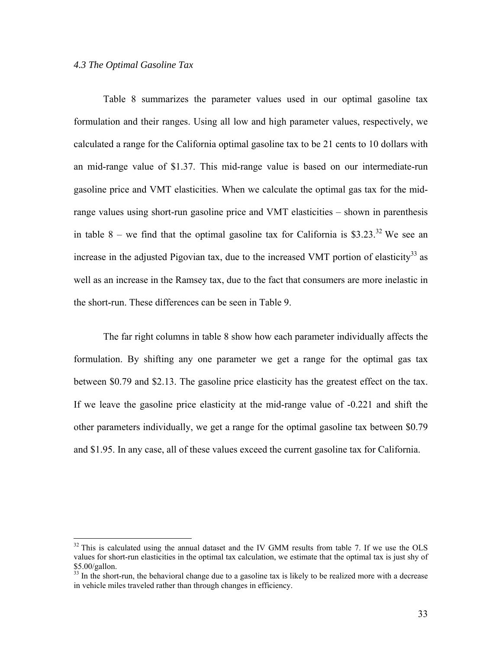#### *4.3 The Optimal Gasoline Tax*

 $\overline{a}$ 

Table 8 summarizes the parameter values used in our optimal gasoline tax formulation and their ranges. Using all low and high parameter values, respectively, we calculated a range for the California optimal gasoline tax to be 21 cents to 10 dollars with an mid-range value of \$1.37. This mid-range value is based on our intermediate-run gasoline price and VMT elasticities. When we calculate the optimal gas tax for the midrange values using short-run gasoline price and VMT elasticities – shown in parenthesis in table 8 – we find that the optimal gasoline tax for California is \$3.23.<sup>32</sup> We see an increase in the adjusted Pigovian tax, due to the increased VMT portion of elasticity<sup>33</sup> as well as an increase in the Ramsey tax, due to the fact that consumers are more inelastic in the short-run. These differences can be seen in Table 9.

The far right columns in table 8 show how each parameter individually affects the formulation. By shifting any one parameter we get a range for the optimal gas tax between \$0.79 and \$2.13. The gasoline price elasticity has the greatest effect on the tax. If we leave the gasoline price elasticity at the mid-range value of -0.221 and shift the other parameters individually, we get a range for the optimal gasoline tax between \$0.79 and \$1.95. In any case, all of these values exceed the current gasoline tax for California.

<sup>&</sup>lt;sup>32</sup> This is calculated using the annual dataset and the IV GMM results from table 7. If we use the OLS values for short-run elasticities in the optimal tax calculation, we estimate that the optimal tax is just shy of \$5.00/gallon.

<sup>&</sup>lt;sup>33</sup> In the short-run, the behavioral change due to a gasoline tax is likely to be realized more with a decrease in vehicle miles traveled rather than through changes in efficiency.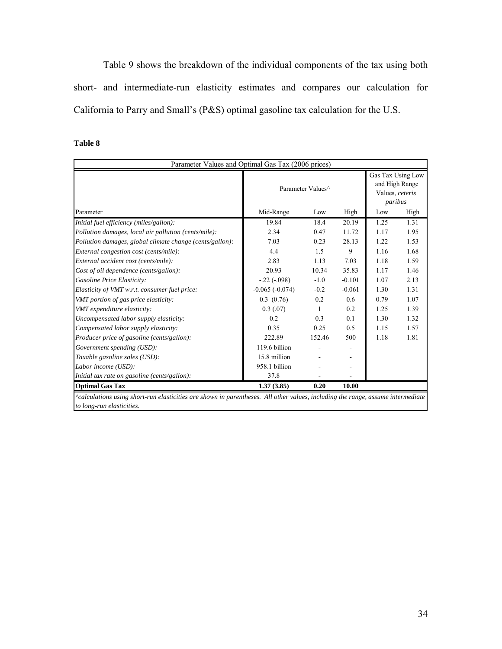Table 9 shows the breakdown of the individual components of the tax using both short- and intermediate-run elasticity estimates and compares our calculation for California to Parry and Small's (P&S) optimal gasoline tax calculation for the U.S.

#### **Table 8**

| Parameter Values and Optimal Gas Tax (2006 prices)                                                                              |                               |        |          |                                                                   |      |  |
|---------------------------------------------------------------------------------------------------------------------------------|-------------------------------|--------|----------|-------------------------------------------------------------------|------|--|
|                                                                                                                                 | Parameter Values <sup>^</sup> |        |          | Gas Tax Using Low<br>and High Range<br>Values, ceteris<br>paribus |      |  |
| Parameter                                                                                                                       | Mid-Range                     | Low    | High     | Low                                                               | High |  |
| Initial fuel efficiency (miles/gallon):                                                                                         | 19.84                         | 18.4   | 20.19    | 1.25                                                              | 1.31 |  |
| Pollution damages, local air pollution (cents/mile):                                                                            | 2.34                          | 0.47   | 11.72    | 1.17                                                              | 1.95 |  |
| Pollution damages, global climate change (cents/gallon):                                                                        | 7.03                          | 0.23   | 28.13    | 1.22                                                              | 1.53 |  |
| External congestion cost (cents/mile):                                                                                          | 4.4                           | 1.5    | 9        | 1.16                                                              | 1.68 |  |
| External accident cost (cents/mile):                                                                                            | 2.83                          | 1.13   | 7.03     | 1.18                                                              | 1.59 |  |
| Cost of oil dependence (cents/gallon):                                                                                          | 20.93                         | 10.34  | 35.83    | 1.17                                                              | 1.46 |  |
| <b>Gasoline Price Elasticity:</b>                                                                                               | $-.22(-.098)$                 | $-1.0$ | $-0.101$ | 1.07                                                              | 2.13 |  |
| Elasticity of VMT w.r.t. consumer fuel price:                                                                                   | $-0.065(-0.074)$              | $-0.2$ | $-0.061$ | 1.30                                                              | 1.31 |  |
| VMT portion of gas price elasticity:                                                                                            | 0.3(0.76)                     | 0.2    | 0.6      | 0.79                                                              | 1.07 |  |
| VMT expenditure elasticity:                                                                                                     | 0.3(0.07)                     |        | 0.2      | 1.25                                                              | 1.39 |  |
| Uncompensated labor supply elasticity:                                                                                          | 0.2                           | 0.3    | 0.1      | 1.30                                                              | 1.32 |  |
| Compensated labor supply elasticity:                                                                                            | 0.35                          | 0.25   | 0.5      | 1.15                                                              | 1.57 |  |
| Producer price of gasoline (cents/gallon):                                                                                      | 222.89                        | 152.46 | 500      | 1.18                                                              | 1.81 |  |
| Government spending (USD):                                                                                                      | 119.6 billion                 |        |          |                                                                   |      |  |
| Taxable gasoline sales (USD):                                                                                                   | 15.8 million                  |        |          |                                                                   |      |  |
| Labor income (USD):                                                                                                             | 958.1 billion                 |        |          |                                                                   |      |  |
| Initial tax rate on gasoline (cents/gallon):                                                                                    | 37.8                          |        |          |                                                                   |      |  |
| <b>Optimal Gas Tax</b>                                                                                                          | 1.37(3.85)                    | 0.20   | 10.00    |                                                                   |      |  |
| ^calculations using short-run elasticities are shown in parentheses. All other values, including the range, assume intermediate |                               |        |          |                                                                   |      |  |
| to long-run elasticities.                                                                                                       |                               |        |          |                                                                   |      |  |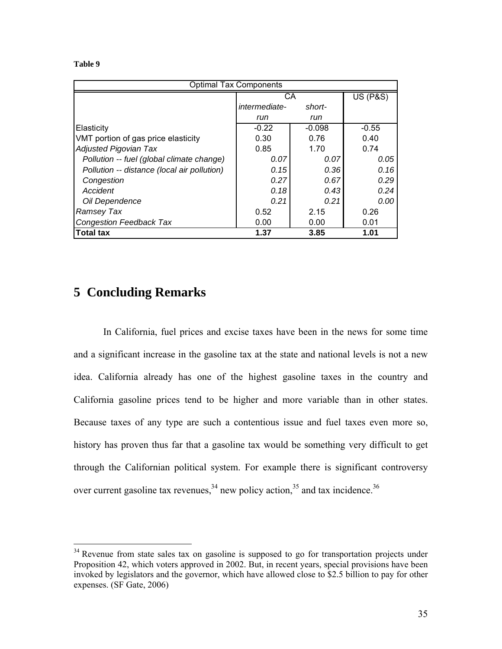| v<br>۰,<br>×<br>٠<br>e v |  |
|--------------------------|--|
|--------------------------|--|

| <b>Optimal Tax Components</b>               |               |          |                     |
|---------------------------------------------|---------------|----------|---------------------|
|                                             | СA            |          | <b>US (P&amp;S)</b> |
|                                             | intermediate- | short-   |                     |
|                                             | run           | run      |                     |
| Elasticity                                  | $-0.22$       | $-0.098$ | $-0.55$             |
| VMT portion of gas price elasticity         | 0.30          | 0.76     | 0.40                |
| <b>Adjusted Pigovian Tax</b>                | 0.85          | 1.70     | 0.74                |
| Pollution -- fuel (global climate change)   | 0.07          | 0.07     | 0.05                |
| Pollution -- distance (local air pollution) | 0.15          | 0.36     | 0.16                |
| Congestion                                  | 0.27          | 0.67     | 0.29                |
| Accident                                    | 0.18          | 0.43     | 0.24                |
| Oil Dependence                              | 0.21          | 0.21     | 0.00                |
| Ramsey Tax                                  | 0.52          | 2.15     | 0.26                |
| <b>Congestion Feedback Tax</b>              | 0.00          | 0.00     | 0.01                |
| <b>Total tax</b>                            | 1.37          | 3.85     | 1.01                |

## **5 Concluding Remarks**

In California, fuel prices and excise taxes have been in the news for some time and a significant increase in the gasoline tax at the state and national levels is not a new idea. California already has one of the highest gasoline taxes in the country and California gasoline prices tend to be higher and more variable than in other states. Because taxes of any type are such a contentious issue and fuel taxes even more so, history has proven thus far that a gasoline tax would be something very difficult to get through the Californian political system. For example there is significant controversy over current gasoline tax revenues,  $34$  new policy action,  $35$  and tax incidence.  $36$ 

 $34$  Revenue from state sales tax on gasoline is supposed to go for transportation projects under Proposition 42, which voters approved in 2002. But, in recent years, special provisions have been invoked by legislators and the governor, which have allowed close to \$2.5 billion to pay for other expenses. (SF Gate, 2006)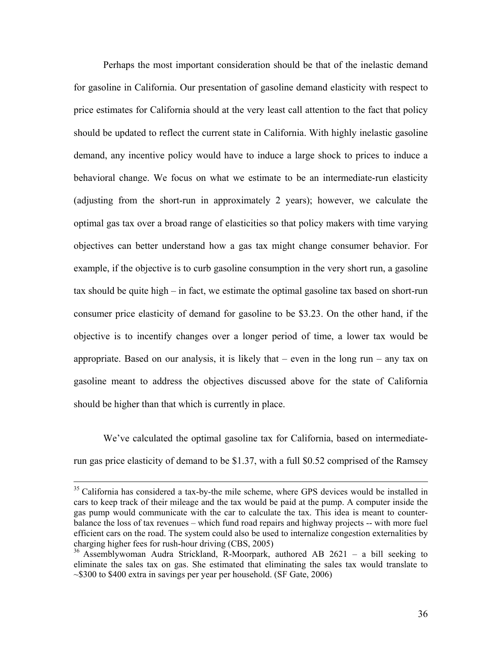Perhaps the most important consideration should be that of the inelastic demand for gasoline in California. Our presentation of gasoline demand elasticity with respect to price estimates for California should at the very least call attention to the fact that policy should be updated to reflect the current state in California. With highly inelastic gasoline demand, any incentive policy would have to induce a large shock to prices to induce a behavioral change. We focus on what we estimate to be an intermediate-run elasticity (adjusting from the short-run in approximately 2 years); however, we calculate the optimal gas tax over a broad range of elasticities so that policy makers with time varying objectives can better understand how a gas tax might change consumer behavior. For example, if the objective is to curb gasoline consumption in the very short run, a gasoline tax should be quite high – in fact, we estimate the optimal gasoline tax based on short-run consumer price elasticity of demand for gasoline to be \$3.23. On the other hand, if the objective is to incentify changes over a longer period of time, a lower tax would be appropriate. Based on our analysis, it is likely that – even in the long run – any tax on gasoline meant to address the objectives discussed above for the state of California should be higher than that which is currently in place.

We've calculated the optimal gasoline tax for California, based on intermediaterun gas price elasticity of demand to be \$1.37, with a full \$0.52 comprised of the Ramsey

<sup>&</sup>lt;sup>35</sup> California has considered a tax-by-the mile scheme, where GPS devices would be installed in cars to keep track of their mileage and the tax would be paid at the pump. A computer inside the gas pump would communicate with the car to calculate the tax. This idea is meant to counterbalance the loss of tax revenues – which fund road repairs and highway projects -- with more fuel efficient cars on the road. The system could also be used to internalize congestion externalities by charging higher fees for rush-hour driving (CBS, 2005)

<sup>36</sup> Assemblywoman Audra Strickland, R-Moorpark, authored AB 2621 – a bill seeking to eliminate the sales tax on gas. She estimated that eliminating the sales tax would translate to ~\$300 to \$400 extra in savings per year per household. (SF Gate, 2006)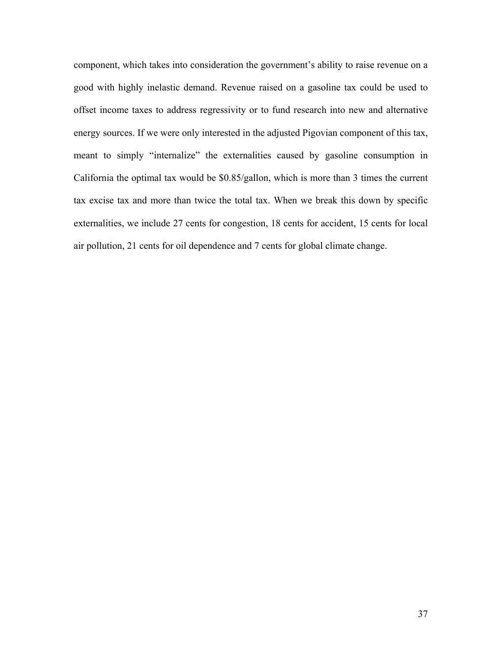component, which takes into consideration the government's ability to raise revenue on a good with highly inelastic demand. Revenue raised on a gasoline tax could be used to offset income taxes to address regressivity or to fund research into new and alternative energy sources. If we were only interested in the adjusted Pigovian component of this tax, meant to simply "internalize" the externalities caused by gasoline consumption in California the optimal tax would be \$0.85/gallon, which is more than 3 times the current tax excise tax and more than twice the total tax. When we break this down by specific externalities, we include 27 cents for congestion, 18 cents for accident, 15 cents for local air pollution, 21 cents for oil dependence and 7 cents for global climate change.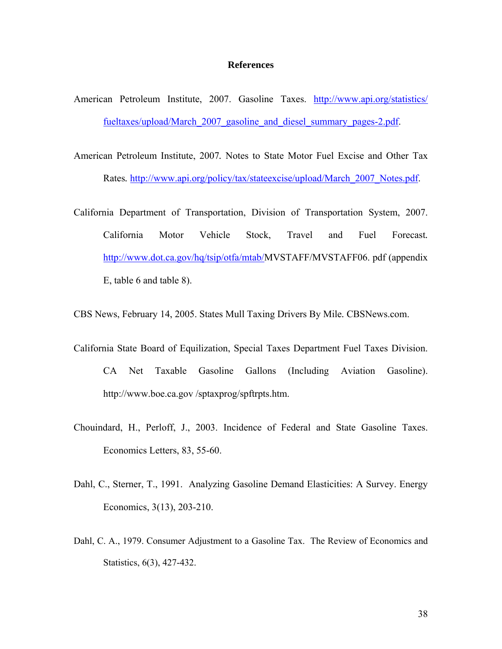#### **References**

- American Petroleum Institute, 2007. Gasoline Taxes. http://www.api.org/statistics/ fueltaxes/upload/March\_2007\_gasoline\_and\_diesel\_summary\_pages-2.pdf.
- American Petroleum Institute, 2007*.* Notes to State Motor Fuel Excise and Other Tax Rates*.* http://www.api.org/policy/tax/stateexcise/upload/March\_2007\_Notes.pdf.
- California Department of Transportation, Division of Transportation System, 2007. California Motor Vehicle Stock, Travel and Fuel Forecast*.*  http://www.dot.ca.gov/hq/tsip/otfa/mtab/MVSTAFF/MVSTAFF06. pdf (appendix E, table 6 and table 8).

CBS News, February 14, 2005. States Mull Taxing Drivers By Mile*.* CBSNews.com.

- California State Board of Equilization, Special Taxes Department Fuel Taxes Division. CA Net Taxable Gasoline Gallons (Including Aviation Gasoline). http://www.boe.ca.gov /sptaxprog/spftrpts.htm.
- Chouindard, H., Perloff, J., 2003. Incidence of Federal and State Gasoline Taxes. Economics Letters, 83, 55-60.
- Dahl, C., Sterner, T., 1991. Analyzing Gasoline Demand Elasticities: A Survey. Energy Economics, 3(13), 203-210.
- Dahl, C. A., 1979. Consumer Adjustment to a Gasoline Tax. The Review of Economics and Statistics, 6(3), 427-432.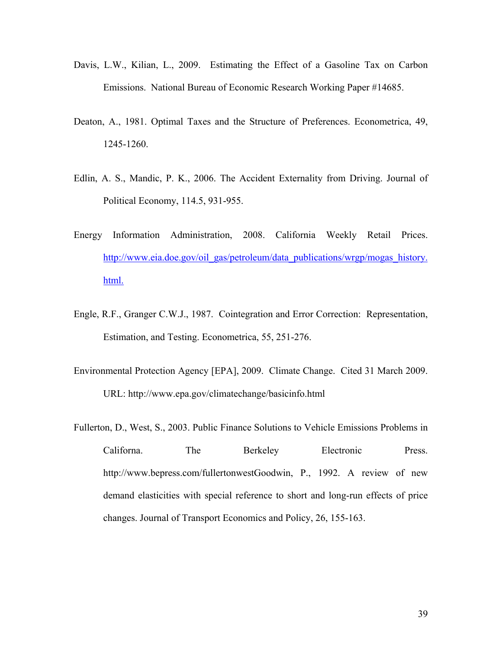- Davis, L.W., Kilian, L., 2009. Estimating the Effect of a Gasoline Tax on Carbon Emissions. National Bureau of Economic Research Working Paper #14685.
- Deaton, A., 1981. Optimal Taxes and the Structure of Preferences. Econometrica, 49, 1245-1260.
- Edlin, A. S., Mandic, P. K., 2006. The Accident Externality from Driving. Journal of Political Economy, 114.5, 931-955.
- Energy Information Administration, 2008. California Weekly Retail Prices. http://www.eia.doe.gov/oil\_gas/petroleum/data\_publications/wrgp/mogas\_history. html.
- Engle, R.F., Granger C.W.J., 1987. Cointegration and Error Correction: Representation, Estimation, and Testing. Econometrica, 55, 251-276.
- Environmental Protection Agency [EPA], 2009. Climate Change. Cited 31 March 2009. URL: http://www.epa.gov/climatechange/basicinfo.html
- Fullerton, D., West, S., 2003. Public Finance Solutions to Vehicle Emissions Problems in Californa. The Berkeley Electronic Press. http://www.bepress.com/fullertonwestGoodwin, P., 1992. A review of new demand elasticities with special reference to short and long-run effects of price changes. Journal of Transport Economics and Policy, 26, 155-163.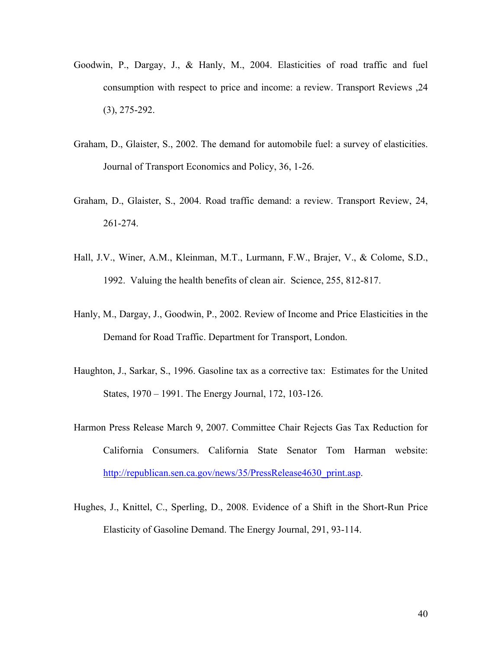- Goodwin, P., Dargay, J., & Hanly, M., 2004. Elasticities of road traffic and fuel consumption with respect to price and income: a review. Transport Reviews ,24 (3), 275-292.
- Graham, D., Glaister, S., 2002. The demand for automobile fuel: a survey of elasticities. Journal of Transport Economics and Policy, 36, 1-26.
- Graham, D., Glaister, S., 2004. Road traffic demand: a review. Transport Review, 24, 261-274.
- Hall, J.V., Winer, A.M., Kleinman, M.T., Lurmann, F.W., Brajer, V., & Colome, S.D., 1992. Valuing the health benefits of clean air. Science, 255, 812-817.
- Hanly, M., Dargay, J., Goodwin, P., 2002. Review of Income and Price Elasticities in the Demand for Road Traffic. Department for Transport, London.
- Haughton, J., Sarkar, S., 1996. Gasoline tax as a corrective tax: Estimates for the United States, 1970 – 1991. The Energy Journal, 172, 103-126.
- Harmon Press Release March 9, 2007. Committee Chair Rejects Gas Tax Reduction for California Consumers. California State Senator Tom Harman website: http://republican.sen.ca.gov/news/35/PressRelease4630\_print.asp.
- Hughes, J., Knittel, C., Sperling, D., 2008. Evidence of a Shift in the Short-Run Price Elasticity of Gasoline Demand. The Energy Journal, 291, 93-114.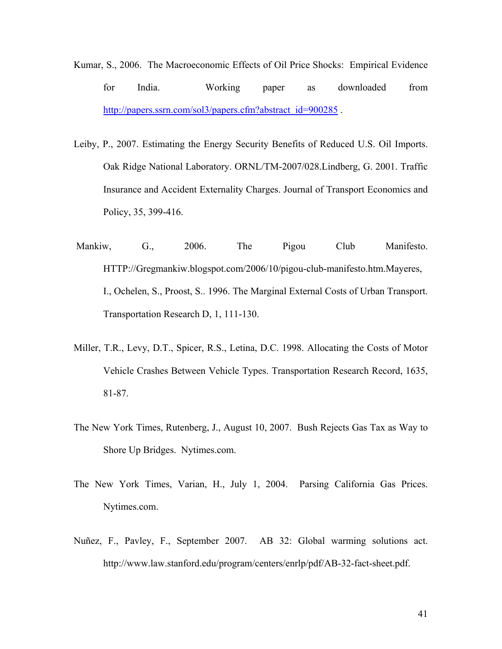- Kumar, S., 2006. The Macroeconomic Effects of Oil Price Shocks: Empirical Evidence for India. Working paper as downloaded from http://papers.ssrn.com/sol3/papers.cfm?abstract\_id=900285.
- Leiby, P., 2007. Estimating the Energy Security Benefits of Reduced U.S. Oil Imports. Oak Ridge National Laboratory. ORNL/TM-2007/028.Lindberg, G. 2001. Traffic Insurance and Accident Externality Charges. Journal of Transport Economics and Policy, 35, 399-416.
- Mankiw, G., 2006. The Pigou Club Manifesto. HTTP://Gregmankiw.blogspot.com/2006/10/pigou-club-manifesto.htm.Mayeres, I., Ochelen, S., Proost, S.. 1996. The Marginal External Costs of Urban Transport. Transportation Research D, 1, 111-130.
- Miller, T.R., Levy, D.T., Spicer, R.S., Letina, D.C. 1998. Allocating the Costs of Motor Vehicle Crashes Between Vehicle Types. Transportation Research Record, 1635, 81-87.
- The New York Times, Rutenberg, J., August 10, 2007. Bush Rejects Gas Tax as Way to Shore Up Bridges. Nytimes.com.
- The New York Times, Varian, H., July 1, 2004. Parsing California Gas Prices. Nytimes.com.
- Nuñez, F., Pavley, F., September 2007. AB 32: Global warming solutions act. http://www.law.stanford.edu/program/centers/enrlp/pdf/AB-32-fact-sheet.pdf.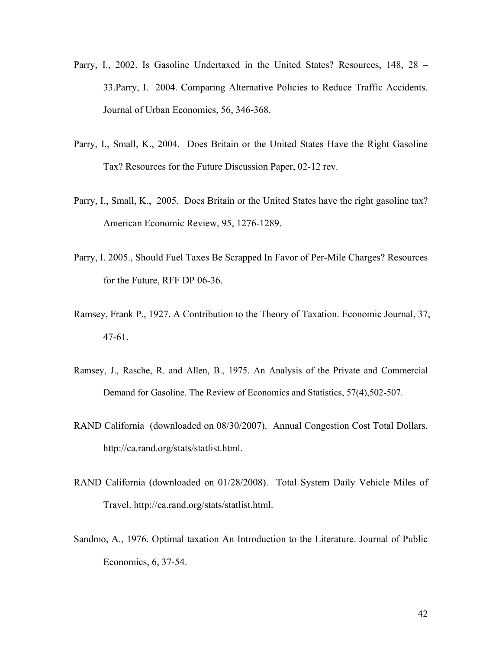- Parry, I., 2002. Is Gasoline Undertaxed in the United States? Resources, 148, 28 33.Parry, I. 2004. Comparing Alternative Policies to Reduce Traffic Accidents. Journal of Urban Economics, 56, 346-368.
- Parry, I., Small, K., 2004. Does Britain or the United States Have the Right Gasoline Tax? Resources for the Future Discussion Paper, 02-12 rev.
- Parry, I., Small, K., 2005. Does Britain or the United States have the right gasoline tax? American Economic Review, 95, 1276-1289.
- Parry, I. 2005., Should Fuel Taxes Be Scrapped In Favor of Per-Mile Charges? Resources for the Future, RFF DP 06-36.
- Ramsey, Frank P., 1927. A Contribution to the Theory of Taxation. Economic Journal, 37, 47-61.
- Ramsey, J., Rasche, R. and Allen, B., 1975. An Analysis of the Private and Commercial Demand for Gasoline. The Review of Economics and Statistics, 57(4),502-507.
- RAND California (downloaded on 08/30/2007). Annual Congestion Cost Total Dollars. http://ca.rand.org/stats/statlist.html.
- RAND California (downloaded on 01/28/2008). Total System Daily Vehicle Miles of Travel. http://ca.rand.org/stats/statlist.html.
- Sandmo, A., 1976. Optimal taxation An Introduction to the Literature. Journal of Public Economics, 6, 37-54.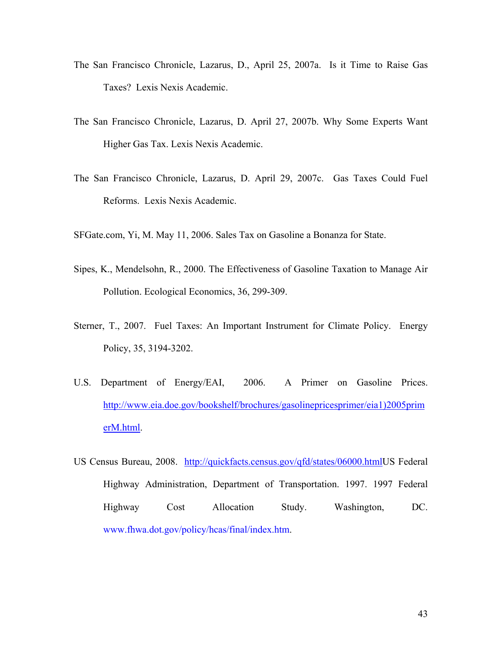- The San Francisco Chronicle, Lazarus, D., April 25, 2007a. Is it Time to Raise Gas Taxes? Lexis Nexis Academic.
- The San Francisco Chronicle, Lazarus, D. April 27, 2007b. Why Some Experts Want Higher Gas Tax. Lexis Nexis Academic.
- The San Francisco Chronicle, Lazarus, D. April 29, 2007c. Gas Taxes Could Fuel Reforms. Lexis Nexis Academic.

SFGate.com, Yi, M. May 11, 2006. Sales Tax on Gasoline a Bonanza for State.

- Sipes, K., Mendelsohn, R., 2000. The Effectiveness of Gasoline Taxation to Manage Air Pollution. Ecological Economics, 36, 299-309.
- Sterner, T., 2007. Fuel Taxes: An Important Instrument for Climate Policy. Energy Policy, 35, 3194-3202.
- U.S. Department of Energy/EAI, 2006. A Primer on Gasoline Prices. http://www.eia.doe.gov/bookshelf/brochures/gasolinepricesprimer/eia1)2005prim erM.html.
- US Census Bureau, 2008. http://quickfacts.census.gov/qfd/states/06000.htmlUS Federal Highway Administration, Department of Transportation. 1997. 1997 Federal Highway Cost Allocation Study. Washington, DC. www.fhwa.dot.gov/policy/hcas/final/index.htm.